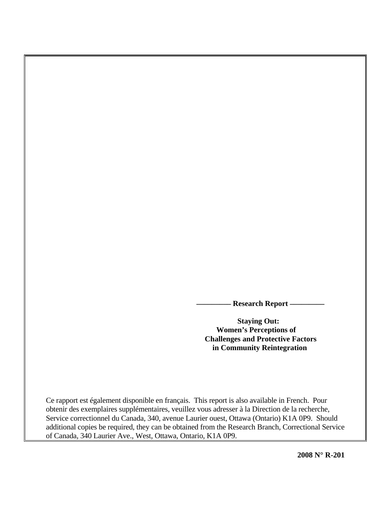**- Research Report –** 

 **Staying Out: Women's Perceptions of Challenges and Protective Factors in Community Reintegration** 

Ce rapport est également disponible en français. This report is also available in French. Pour obtenir des exemplaires supplémentaires, veuillez vous adresser à la Direction de la recherche, Service correctionnel du Canada, 340, avenue Laurier ouest, Ottawa (Ontario) K1A 0P9. Should additional copies be required, they can be obtained from the Research Branch, Correctional Service of Canada, 340 Laurier Ave., West, Ottawa, Ontario, K1A 0P9.

**2008 N° R-201**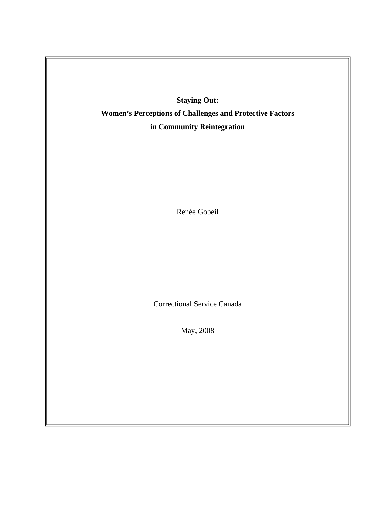**Staying Out: Women's Perceptions of Challenges and Protective Factors in Community Reintegration** 

Renée Gobeil

Correctional Service Canada

May, 2008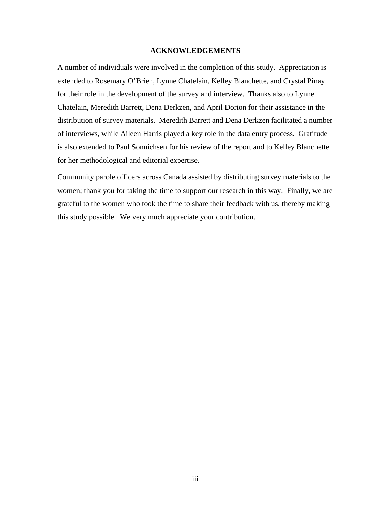### **ACKNOWLEDGEMENTS**

<span id="page-2-0"></span>A number of individuals were involved in the completion of this study. Appreciation is extended to Rosemary O'Brien, Lynne Chatelain, Kelley Blanchette, and Crystal Pinay for their role in the development of the survey and interview. Thanks also to Lynne Chatelain, Meredith Barrett, Dena Derkzen, and April Dorion for their assistance in the distribution of survey materials. Meredith Barrett and Dena Derkzen facilitated a number of interviews, while Aileen Harris played a key role in the data entry process. Gratitude is also extended to Paul Sonnichsen for his review of the report and to Kelley Blanchette for her methodological and editorial expertise.

Community parole officers across Canada assisted by distributing survey materials to the women; thank you for taking the time to support our research in this way. Finally, we are grateful to the women who took the time to share their feedback with us, thereby making this study possible. We very much appreciate your contribution.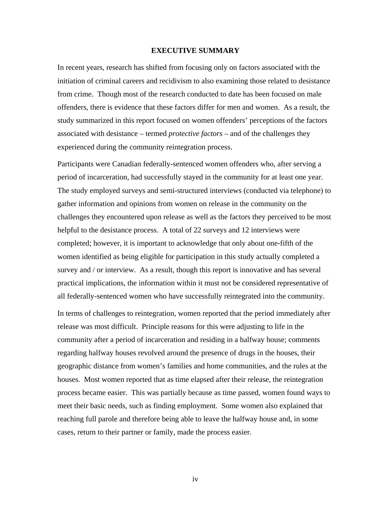### **EXECUTIVE SUMMARY**

<span id="page-3-0"></span>In recent years, research has shifted from focusing only on factors associated with the initiation of criminal careers and recidivism to also examining those related to desistance from crime. Though most of the research conducted to date has been focused on male offenders, there is evidence that these factors differ for men and women. As a result, the study summarized in this report focused on women offenders' perceptions of the factors associated with desistance – termed *protective factors* – and of the challenges they experienced during the community reintegration process.

Participants were Canadian federally-sentenced women offenders who, after serving a period of incarceration, had successfully stayed in the community for at least one year. The study employed surveys and semi-structured interviews (conducted via telephone) to gather information and opinions from women on release in the community on the challenges they encountered upon release as well as the factors they perceived to be most helpful to the desistance process. A total of 22 surveys and 12 interviews were completed; however, it is important to acknowledge that only about one-fifth of the women identified as being eligible for participation in this study actually completed a survey and / or interview. As a result, though this report is innovative and has several practical implications, the information within it must not be considered representative of all federally-sentenced women who have successfully reintegrated into the community.

In terms of challenges to reintegration, women reported that the period immediately after release was most difficult. Principle reasons for this were adjusting to life in the community after a period of incarceration and residing in a halfway house; comments regarding halfway houses revolved around the presence of drugs in the houses, their geographic distance from women's families and home communities, and the rules at the houses. Most women reported that as time elapsed after their release, the reintegration process became easier. This was partially because as time passed, women found ways to meet their basic needs, such as finding employment. Some women also explained that reaching full parole and therefore being able to leave the halfway house and, in some cases, return to their partner or family, made the process easier.

iv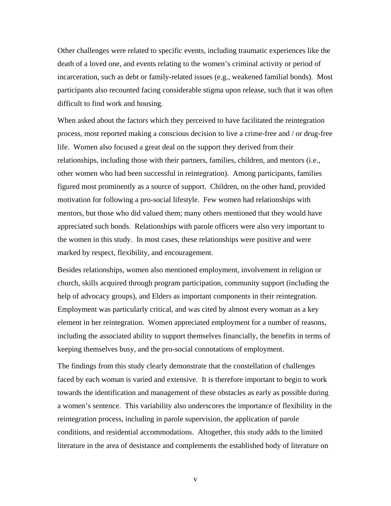Other challenges were related to specific events, including traumatic experiences like the death of a loved one, and events relating to the women's criminal activity or period of incarceration, such as debt or family-related issues (e.g., weakened familial bonds). Most participants also recounted facing considerable stigma upon release, such that it was often difficult to find work and housing.

When asked about the factors which they perceived to have facilitated the reintegration process, most reported making a conscious decision to live a crime-free and / or drug-free life. Women also focused a great deal on the support they derived from their relationships, including those with their partners, families, children, and mentors (i.e., other women who had been successful in reintegration). Among participants, families figured most prominently as a source of support. Children, on the other hand, provided motivation for following a pro-social lifestyle. Few women had relationships with mentors, but those who did valued them; many others mentioned that they would have appreciated such bonds. Relationships with parole officers were also very important to the women in this study. In most cases, these relationships were positive and were marked by respect, flexibility, and encouragement.

Besides relationships, women also mentioned employment, involvement in religion or church, skills acquired through program participation, community support (including the help of advocacy groups), and Elders as important components in their reintegration. Employment was particularly critical, and was cited by almost every woman as a key element in her reintegration. Women appreciated employment for a number of reasons, including the associated ability to support themselves financially, the benefits in terms of keeping themselves busy, and the pro-social connotations of employment.

The findings from this study clearly demonstrate that the constellation of challenges faced by each woman is varied and extensive. It is therefore important to begin to work towards the identification and management of these obstacles as early as possible during a women's sentence. This variability also underscores the importance of flexibility in the reintegration process, including in parole supervision, the application of parole conditions, and residential accommodations. Altogether, this study adds to the limited literature in the area of desistance and complements the established body of literature on

v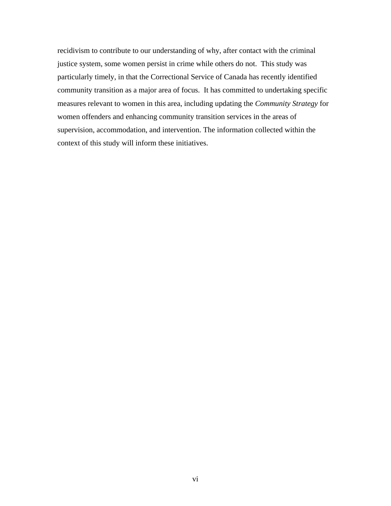recidivism to contribute to our understanding of why, after contact with the criminal justice system, some women persist in crime while others do not. This study was particularly timely, in that the Correctional Service of Canada has recently identified community transition as a major area of focus. It has committed to undertaking specific measures relevant to women in this area, including updating the *Community Strategy* for women offenders and enhancing community transition services in the areas of supervision, accommodation, and intervention. The information collected within the context of this study will inform these initiatives.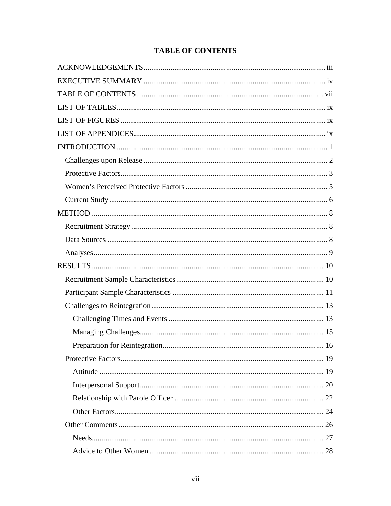# **TABLE OF CONTENTS**

<span id="page-6-0"></span>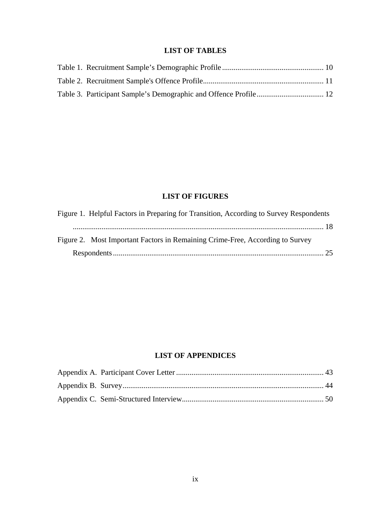# **LIST OF TABLES**

<span id="page-8-0"></span>

# **LIST OF FIGURES**

| Figure 1. Helpful Factors in Preparing for Transition, According to Survey Respondents |
|----------------------------------------------------------------------------------------|
|                                                                                        |
| Figure 2. Most Important Factors in Remaining Crime-Free, According to Survey          |
|                                                                                        |

# **LIST OF APPENDICES**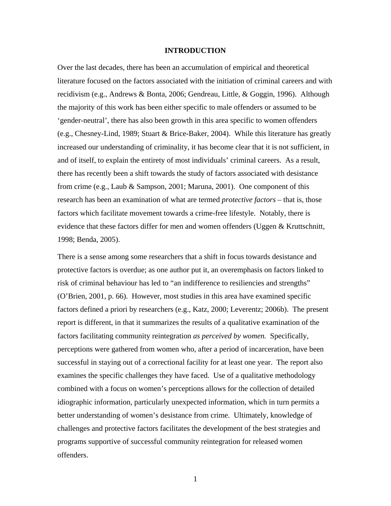### **INTRODUCTION**

<span id="page-9-0"></span>Over the last decades, there has been an accumulation of empirical and theoretical literature focused on the factors associated with the initiation of criminal careers and with recidivism (e.g., Andrews & Bonta, 2006; Gendreau, Little, & Goggin, 1996). Although the majority of this work has been either specific to male offenders or assumed to be 'gender-neutral', there has also been growth in this area specific to women offenders (e.g., Chesney-Lind, 1989; Stuart & Brice-Baker, 2004). While this literature has greatly increased our understanding of criminality, it has become clear that it is not sufficient, in and of itself, to explain the entirety of most individuals' criminal careers. As a result, there has recently been a shift towards the study of factors associated with desistance from crime (e.g., Laub & Sampson, 2001; Maruna, 2001). One component of this research has been an examination of what are termed *protective factors* – that is, those factors which facilitate movement towards a crime-free lifestyle. Notably, there is evidence that these factors differ for men and women offenders (Uggen & Kruttschnitt, 1998; Benda, 2005).

There is a sense among some researchers that a shift in focus towards desistance and protective factors is overdue; as one author put it, an overemphasis on factors linked to risk of criminal behaviour has led to "an indifference to resiliencies and strengths" (O'Brien, 2001, p. 66). However, most studies in this area have examined specific factors defined a priori by researchers (e.g., Katz, 2000; Leverentz; 2006b). The present report is different, in that it summarizes the results of a qualitative examination of the factors facilitating community reintegration *as perceived by women.* Specifically, perceptions were gathered from women who, after a period of incarceration, have been successful in staying out of a correctional facility for at least one year. The report also examines the specific challenges they have faced. Use of a qualitative methodology combined with a focus on women's perceptions allows for the collection of detailed idiographic information, particularly unexpected information, which in turn permits a better understanding of women's desistance from crime. Ultimately, knowledge of challenges and protective factors facilitates the development of the best strategies and programs supportive of successful community reintegration for released women offenders.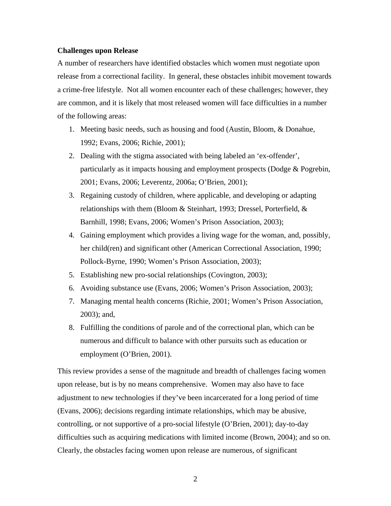## <span id="page-10-0"></span>**Challenges upon Release**

A number of researchers have identified obstacles which women must negotiate upon release from a correctional facility. In general, these obstacles inhibit movement towards a crime-free lifestyle. Not all women encounter each of these challenges; however, they are common, and it is likely that most released women will face difficulties in a number of the following areas:

- 1. Meeting basic needs, such as housing and food (Austin, Bloom, & Donahue, 1992; Evans, 2006; Richie, 2001);
- 2. Dealing with the stigma associated with being labeled an 'ex-offender', particularly as it impacts housing and employment prospects (Dodge & Pogrebin, 2001; Evans, 2006; Leverentz, 2006a; O'Brien, 2001);
- 3. Regaining custody of children, where applicable, and developing or adapting relationships with them (Bloom & Steinhart, 1993; Dressel, Porterfield, & Barnhill, 1998; Evans, 2006; Women's Prison Association, 2003);
- 4. Gaining employment which provides a living wage for the woman, and, possibly, her child(ren) and significant other (American Correctional Association, 1990; Pollock-Byrne, 1990; Women's Prison Association, 2003);
- 5. Establishing new pro-social relationships (Covington, 2003);
- 6. Avoiding substance use (Evans, 2006; Women's Prison Association, 2003);
- 7. Managing mental health concerns (Richie, 2001; Women's Prison Association, 2003); and,
- 8. Fulfilling the conditions of parole and of the correctional plan, which can be numerous and difficult to balance with other pursuits such as education or employment (O'Brien, 2001).

This review provides a sense of the magnitude and breadth of challenges facing women upon release, but is by no means comprehensive. Women may also have to face adjustment to new technologies if they've been incarcerated for a long period of time (Evans, 2006); decisions regarding intimate relationships, which may be abusive, controlling, or not supportive of a pro-social lifestyle (O'Brien, 2001); day-to-day difficulties such as acquiring medications with limited income (Brown, 2004); and so on. Clearly, the obstacles facing women upon release are numerous, of significant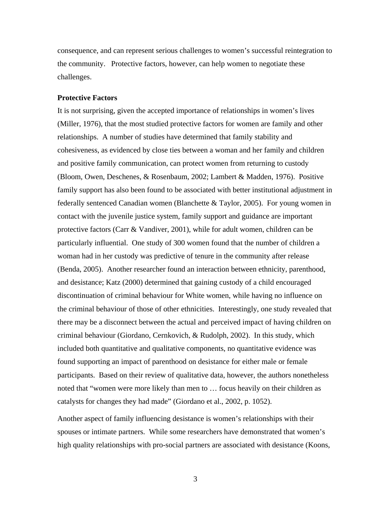<span id="page-11-0"></span>consequence, and can represent serious challenges to women's successful reintegration to the community. Protective factors, however, can help women to negotiate these challenges.

### **Protective Factors**

It is not surprising, given the accepted importance of relationships in women's lives (Miller, 1976), that the most studied protective factors for women are family and other relationships. A number of studies have determined that family stability and cohesiveness, as evidenced by close ties between a woman and her family and children and positive family communication, can protect women from returning to custody (Bloom, Owen, Deschenes, & Rosenbaum, 2002; Lambert & Madden, 1976). Positive family support has also been found to be associated with better institutional adjustment in federally sentenced Canadian women (Blanchette & Taylor, 2005). For young women in contact with the juvenile justice system, family support and guidance are important protective factors (Carr & Vandiver, 2001), while for adult women, children can be particularly influential. One study of 300 women found that the number of children a woman had in her custody was predictive of tenure in the community after release (Benda, 2005). Another researcher found an interaction between ethnicity, parenthood, and desistance; Katz (2000) determined that gaining custody of a child encouraged discontinuation of criminal behaviour for White women, while having no influence on the criminal behaviour of those of other ethnicities. Interestingly, one study revealed that there may be a disconnect between the actual and perceived impact of having children on criminal behaviour (Giordano, Cernkovich, & Rudolph, 2002). In this study, which included both quantitative and qualitative components, no quantitative evidence was found supporting an impact of parenthood on desistance for either male or female participants. Based on their review of qualitative data, however, the authors nonetheless noted that "women were more likely than men to … focus heavily on their children as catalysts for changes they had made" (Giordano et al., 2002, p. 1052).

Another aspect of family influencing desistance is women's relationships with their spouses or intimate partners. While some researchers have demonstrated that women's high quality relationships with pro-social partners are associated with desistance (Koons,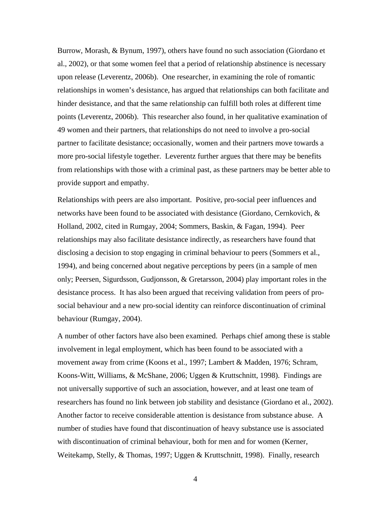Burrow, Morash, & Bynum, 1997), others have found no such association (Giordano et al., 2002), or that some women feel that a period of relationship abstinence is necessary upon release (Leverentz, 2006b). One researcher, in examining the role of romantic relationships in women's desistance, has argued that relationships can both facilitate and hinder desistance, and that the same relationship can fulfill both roles at different time points (Leverentz, 2006b). This researcher also found, in her qualitative examination of 49 women and their partners, that relationships do not need to involve a pro-social partner to facilitate desistance; occasionally, women and their partners move towards a more pro-social lifestyle together. Leverentz further argues that there may be benefits from relationships with those with a criminal past, as these partners may be better able to provide support and empathy.

Relationships with peers are also important. Positive, pro-social peer influences and networks have been found to be associated with desistance (Giordano, Cernkovich, & Holland, 2002, cited in Rumgay, 2004; Sommers, Baskin, & Fagan, 1994). Peer relationships may also facilitate desistance indirectly, as researchers have found that disclosing a decision to stop engaging in criminal behaviour to peers (Sommers et al., 1994), and being concerned about negative perceptions by peers (in a sample of men only; Peersen, Sigurdsson, Gudjonsson, & Gretarsson, 2004) play important roles in the desistance process. It has also been argued that receiving validation from peers of prosocial behaviour and a new pro-social identity can reinforce discontinuation of criminal behaviour (Rumgay, 2004).

A number of other factors have also been examined. Perhaps chief among these is stable involvement in legal employment, which has been found to be associated with a movement away from crime (Koons et al., 1997; Lambert & Madden, 1976; Schram, Koons-Witt, Williams, & McShane, 2006; Uggen & Kruttschnitt, 1998). Findings are not universally supportive of such an association, however, and at least one team of researchers has found no link between job stability and desistance (Giordano et al., 2002). Another factor to receive considerable attention is desistance from substance abuse. A number of studies have found that discontinuation of heavy substance use is associated with discontinuation of criminal behaviour, both for men and for women (Kerner, Weitekamp, Stelly, & Thomas, 1997; Uggen & Kruttschnitt, 1998). Finally, research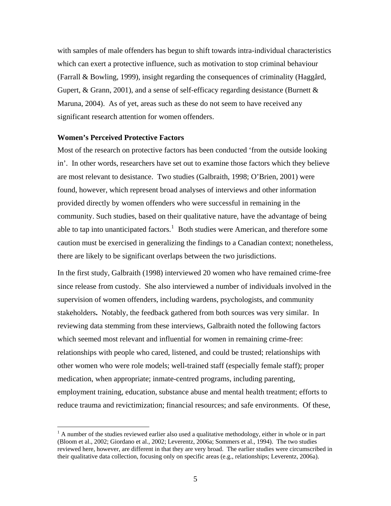<span id="page-13-0"></span>with samples of male offenders has begun to shift towards intra-individual characteristics which can exert a protective influence, such as motivation to stop criminal behaviour (Farrall & Bowling, 1999), insight regarding the consequences of criminality (Haggård, Gupert, & Grann, 2001), and a sense of self-efficacy regarding desistance (Burnett  $\&$ Maruna, 2004). As of yet, areas such as these do not seem to have received any significant research attention for women offenders.

# **Women's Perceived Protective Factors**

Most of the research on protective factors has been conducted 'from the outside looking in'. In other words, researchers have set out to examine those factors which they believe are most relevant to desistance. Two studies (Galbraith, 1998; O'Brien, 2001) were found, however, which represent broad analyses of interviews and other information provided directly by women offenders who were successful in remaining in the community. Such studies, based on their qualitative nature, have the advantage of being able to tap into unanticipated factors.<sup>[1](#page-13-1)</sup> Both studies were American, and therefore some caution must be exercised in generalizing the findings to a Canadian context; nonetheless, there are likely to be significant overlaps between the two jurisdictions.

In the first study, Galbraith (1998) interviewed 20 women who have remained crime-free since release from custody. She also interviewed a number of individuals involved in the supervision of women offenders, including wardens, psychologists, and community stakeholders**.** Notably, the feedback gathered from both sources was very similar. In reviewing data stemming from these interviews, Galbraith noted the following factors which seemed most relevant and influential for women in remaining crime-free: relationships with people who cared, listened, and could be trusted; relationships with other women who were role models; well-trained staff (especially female staff); proper medication, when appropriate; inmate-centred programs, including parenting, employment training, education, substance abuse and mental health treatment; efforts to reduce trauma and revictimization; financial resources; and safe environments. Of these,

<span id="page-13-1"></span><sup>&</sup>lt;sup>1</sup> A number of the studies reviewed earlier also used a qualitative methodology, either in whole or in part (Bloom et al., 2002; Giordano et al., 2002; Leverentz, 2006a; Sommers et al., 1994). The two studies reviewed here, however, are different in that they are very broad. The earlier studies were circumscribed in their qualitative data collection, focusing only on specific areas (e.g., relationships; Leverentz, 2006a).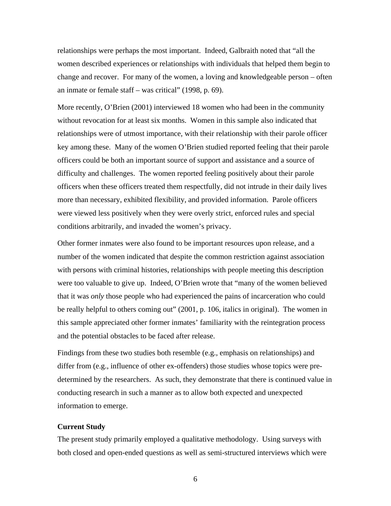<span id="page-14-0"></span>relationships were perhaps the most important. Indeed, Galbraith noted that "all the women described experiences or relationships with individuals that helped them begin to change and recover. For many of the women, a loving and knowledgeable person – often an inmate or female staff – was critical" (1998, p. 69).

More recently, O'Brien (2001) interviewed 18 women who had been in the community without revocation for at least six months. Women in this sample also indicated that relationships were of utmost importance, with their relationship with their parole officer key among these. Many of the women O'Brien studied reported feeling that their parole officers could be both an important source of support and assistance and a source of difficulty and challenges. The women reported feeling positively about their parole officers when these officers treated them respectfully, did not intrude in their daily lives more than necessary, exhibited flexibility, and provided information. Parole officers were viewed less positively when they were overly strict, enforced rules and special conditions arbitrarily, and invaded the women's privacy.

Other former inmates were also found to be important resources upon release, and a number of the women indicated that despite the common restriction against association with persons with criminal histories, relationships with people meeting this description were too valuable to give up. Indeed, O'Brien wrote that "many of the women believed that it was *only* those people who had experienced the pains of incarceration who could be really helpful to others coming out" (2001, p. 106, italics in original). The women in this sample appreciated other former inmates' familiarity with the reintegration process and the potential obstacles to be faced after release.

Findings from these two studies both resemble (e.g., emphasis on relationships) and differ from (e.g., influence of other ex-offenders) those studies whose topics were predetermined by the researchers. As such, they demonstrate that there is continued value in conducting research in such a manner as to allow both expected and unexpected information to emerge.

#### **Current Study**

The present study primarily employed a qualitative methodology. Using surveys with both closed and open-ended questions as well as semi-structured interviews which were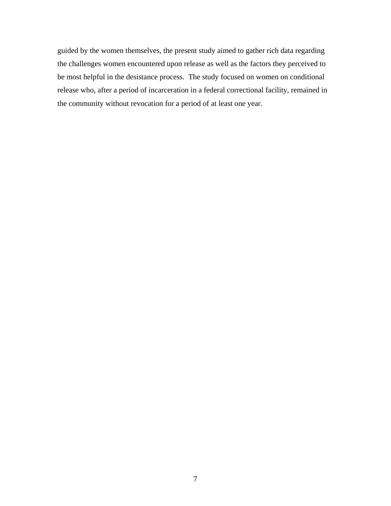guided by the women themselves, the present study aimed to gather rich data regarding the challenges women encountered upon release as well as the factors they perceived to be most helpful in the desistance process. The study focused on women on conditional release who, after a period of incarceration in a federal correctional facility, remained in the community without revocation for a period of at least one year.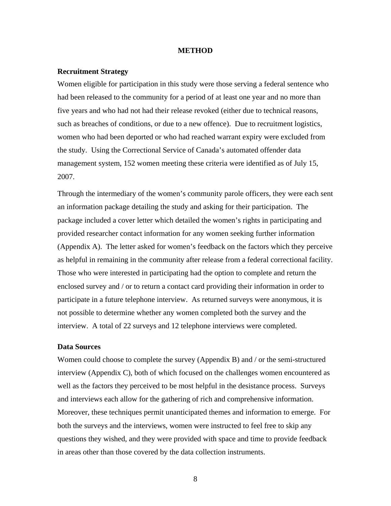#### **METHOD**

### <span id="page-16-0"></span>**Recruitment Strategy**

Women eligible for participation in this study were those serving a federal sentence who had been released to the community for a period of at least one year and no more than five years and who had not had their release revoked (either due to technical reasons, such as breaches of conditions, or due to a new offence). Due to recruitment logistics, women who had been deported or who had reached warrant expiry were excluded from the study. Using the Correctional Service of Canada's automated offender data management system, 152 women meeting these criteria were identified as of July 15, 2007.

Through the intermediary of the women's community parole officers, they were each sent an information package detailing the study and asking for their participation. The package included a cover letter which detailed the women's rights in participating and provided researcher contact information for any women seeking further information (Appendix A). The letter asked for women's feedback on the factors which they perceive as helpful in remaining in the community after release from a federal correctional facility. Those who were interested in participating had the option to complete and return the enclosed survey and / or to return a contact card providing their information in order to participate in a future telephone interview. As returned surveys were anonymous, it is not possible to determine whether any women completed both the survey and the interview. A total of 22 surveys and 12 telephone interviews were completed.

### **Data Sources**

Women could choose to complete the survey (Appendix B) and / or the semi-structured interview (Appendix C), both of which focused on the challenges women encountered as well as the factors they perceived to be most helpful in the desistance process. Surveys and interviews each allow for the gathering of rich and comprehensive information. Moreover, these techniques permit unanticipated themes and information to emerge. For both the surveys and the interviews, women were instructed to feel free to skip any questions they wished, and they were provided with space and time to provide feedback in areas other than those covered by the data collection instruments.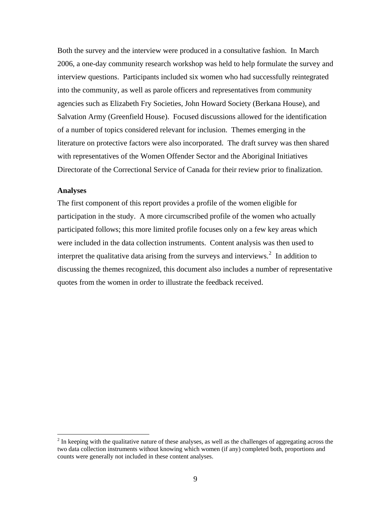<span id="page-17-0"></span>Both the survey and the interview were produced in a consultative fashion. In March 2006, a one-day community research workshop was held to help formulate the survey and interview questions. Participants included six women who had successfully reintegrated into the community, as well as parole officers and representatives from community agencies such as Elizabeth Fry Societies, John Howard Society (Berkana House), and Salvation Army (Greenfield House). Focused discussions allowed for the identification of a number of topics considered relevant for inclusion. Themes emerging in the literature on protective factors were also incorporated. The draft survey was then shared with representatives of the Women Offender Sector and the Aboriginal Initiatives Directorate of the Correctional Service of Canada for their review prior to finalization.

#### **Analyses**

 $\overline{a}$ 

The first component of this report provides a profile of the women eligible for participation in the study. A more circumscribed profile of the women who actually participated follows; this more limited profile focuses only on a few key areas which were included in the data collection instruments. Content analysis was then used to interpret the qualitative data arising from the surveys and interviews.<sup>[2](#page-17-1)</sup> In addition to discussing the themes recognized, this document also includes a number of representative quotes from the women in order to illustrate the feedback received.

<span id="page-17-1"></span> $2<sup>2</sup>$  In keeping with the qualitative nature of these analyses, as well as the challenges of aggregating across the two data collection instruments without knowing which women (if any) completed both, proportions and counts were generally not included in these content analyses.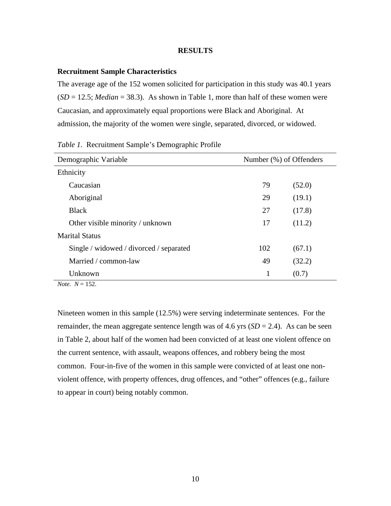#### **RESULTS**

# <span id="page-18-0"></span>**Recruitment Sample Characteristics**

The average age of the 152 women solicited for participation in this study was 40.1 years  $(SD = 12.5; Median = 38.3)$ . As shown in Table 1, more than half of these women were Caucasian, and approximately equal proportions were Black and Aboriginal. At admission, the majority of the women were single, separated, divorced, or widowed.

| Demographic Variable                    | Number (%) of Offenders |        |
|-----------------------------------------|-------------------------|--------|
| Ethnicity                               |                         |        |
| Caucasian                               | 79                      | (52.0) |
| Aboriginal                              | 29                      | (19.1) |
| <b>Black</b>                            | 27                      | (17.8) |
| Other visible minority / unknown        | 17                      | (11.2) |
| <b>Marital Status</b>                   |                         |        |
| Single / widowed / divorced / separated | 102                     | (67.1) |
| Married / common-law                    | 49                      | (32.2) |
| Unknown                                 | 1                       | (0.7)  |

*Table 1.* Recruitment Sample's Demographic Profile

 $$ 

Nineteen women in this sample (12.5%) were serving indeterminate sentences. For the remainder, the mean aggregate sentence length was of 4.6 yrs  $(SD = 2.4)$ . As can be seen in Table 2, about half of the women had been convicted of at least one violent offence on the current sentence, with assault, weapons offences, and robbery being the most common. Four-in-five of the women in this sample were convicted of at least one nonviolent offence, with property offences, drug offences, and "other" offences (e.g., failure to appear in court) being notably common.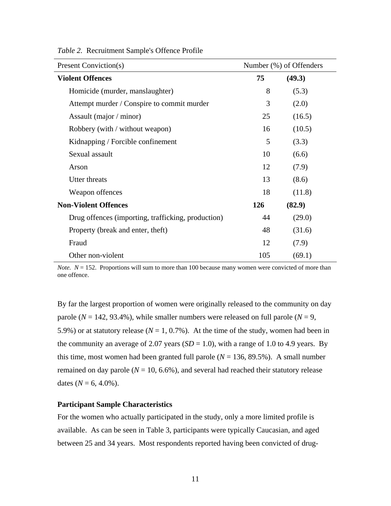| <b>Present Conviction(s)</b>                       | Number (%) of Offenders |        |
|----------------------------------------------------|-------------------------|--------|
| <b>Violent Offences</b>                            | 75                      | (49.3) |
| Homicide (murder, manslaughter)                    | 8                       | (5.3)  |
| Attempt murder / Conspire to commit murder         | 3                       | (2.0)  |
| Assault (major / minor)                            | 25                      | (16.5) |
| Robbery (with / without weapon)                    | 16                      | (10.5) |
| Kidnapping / Forcible confinement                  | 5                       | (3.3)  |
| Sexual assault                                     | 10                      | (6.6)  |
| Arson                                              | 12                      | (7.9)  |
| Utter threats                                      | 13                      | (8.6)  |
| Weapon offences                                    | 18                      | (11.8) |
| <b>Non-Violent Offences</b>                        | 126                     | (82.9) |
| Drug offences (importing, trafficking, production) | 44                      | (29.0) |
| Property (break and enter, theft)                  | 48                      | (31.6) |
| Fraud                                              | 12                      | (7.9)  |
| Other non-violent                                  | 105                     | (69.1) |

<span id="page-19-0"></span>*Table 2.* Recruitment Sample's Offence Profile

*Note.*  $N = 152$ . Proportions will sum to more than 100 because many women were convicted of more than one offence.

By far the largest proportion of women were originally released to the community on day parole ( $N = 142, 93.4\%$ ), while smaller numbers were released on full parole ( $N = 9$ , 5.9%) or at statutory release ( $N = 1, 0.7$ %). At the time of the study, women had been in the community an average of 2.07 years  $(SD = 1.0)$ , with a range of 1.0 to 4.9 years. By this time, most women had been granted full parole  $(N = 136, 89.5\%)$ . A small number remained on day parole ( $N = 10, 6.6\%$ ), and several had reached their statutory release dates ( $N = 6, 4.0\%$ ).

# **Participant Sample Characteristics**

For the women who actually participated in the study, only a more limited profile is available. As can be seen in Table 3, participants were typically Caucasian, and aged between 25 and 34 years. Most respondents reported having been convicted of drug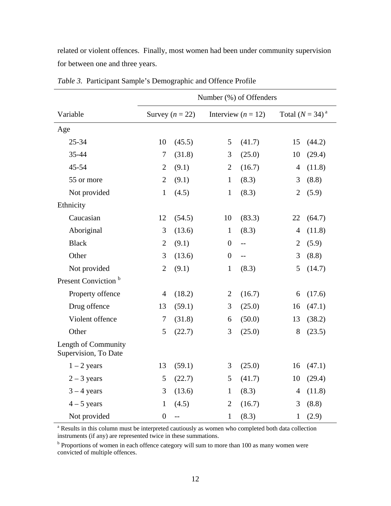<span id="page-20-0"></span>related or violent offences. Finally, most women had been under community supervision for between one and three years.

|                                             |                |                          |                  | Number (%) of Offenders |                |                    |
|---------------------------------------------|----------------|--------------------------|------------------|-------------------------|----------------|--------------------|
| Variable                                    |                | Survey $(n = 22)$        |                  | Interview ( $n = 12$ )  |                | Total $(N = 34)^a$ |
| Age                                         |                |                          |                  |                         |                |                    |
| 25-34                                       | 10             | (45.5)                   | 5                | (41.7)                  | 15             | (44.2)             |
| 35-44                                       | 7              | (31.8)                   | 3                | (25.0)                  | 10             | (29.4)             |
| 45-54                                       | $\overline{2}$ | (9.1)                    | $\overline{2}$   | (16.7)                  | $\overline{4}$ | (11.8)             |
| 55 or more                                  | $\overline{2}$ | (9.1)                    | $\mathbf{1}$     | (8.3)                   | 3              | (8.8)              |
| Not provided                                | $\mathbf{1}$   | (4.5)                    | $\mathbf{1}$     | (8.3)                   | $\overline{2}$ | (5.9)              |
| Ethnicity                                   |                |                          |                  |                         |                |                    |
| Caucasian                                   | 12             | (54.5)                   | 10               | (83.3)                  | 22             | (64.7)             |
| Aboriginal                                  | 3              | (13.6)                   | $\mathbf{1}$     | (8.3)                   | $\overline{4}$ | (11.8)             |
| <b>Black</b>                                | $\overline{2}$ | (9.1)                    | $\boldsymbol{0}$ | $\overline{a}$          | $\overline{2}$ | (5.9)              |
| Other                                       | 3              | (13.6)                   | $\boldsymbol{0}$ | $\overline{a}$          | 3              | (8.8)              |
| Not provided                                | $\overline{2}$ | (9.1)                    | $\mathbf{1}$     | (8.3)                   | 5              | (14.7)             |
| Present Conviction <sup>b</sup>             |                |                          |                  |                         |                |                    |
| Property offence                            | $\overline{4}$ | (18.2)                   | $\overline{2}$   | (16.7)                  | 6              | (17.6)             |
| Drug offence                                | 13             | (59.1)                   | 3                | (25.0)                  | 16             | (47.1)             |
| Violent offence                             | $\tau$         | (31.8)                   | 6                | (50.0)                  | 13             | (38.2)             |
| Other                                       | 5              | (22.7)                   | 3                | (25.0)                  | 8              | (23.5)             |
| Length of Community<br>Supervision, To Date |                |                          |                  |                         |                |                    |
| $1 - 2$ years                               | 13             | (59.1)                   | 3                | (25.0)                  | 16             | (47.1)             |
| $2 - 3$ years                               | 5              | (22.7)                   | 5                | (41.7)                  | 10             | (29.4)             |
| $3 - 4$ years                               | 3              | (13.6)                   | $\mathbf{1}$     | (8.3)                   | $\overline{4}$ | (11.8)             |
| $4 - 5$ years                               | $\mathbf{1}$   | (4.5)                    | $\mathbf{2}$     | (16.7)                  | 3              | (8.8)              |
| Not provided                                | $\overline{0}$ | $\overline{\phantom{m}}$ | $\mathbf{1}$     | (8.3)                   | $\mathbf{1}$   | (2.9)              |

*Table 3.* Participant Sample's Demographic and Offence Profile

<sup>a</sup> Results in this column must be interpreted cautiously as women who completed both data collection instruments (if any) are represented twice in these summations. b

<sup>b</sup> Proportions of women in each offence category will sum to more than 100 as many women were convicted of multiple offences.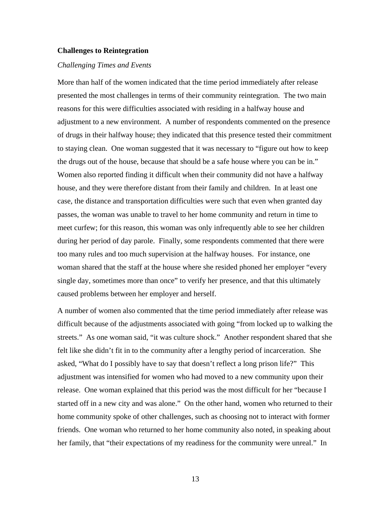#### <span id="page-21-0"></span>**Challenges to Reintegration**

### *Challenging Times and Events*

More than half of the women indicated that the time period immediately after release presented the most challenges in terms of their community reintegration. The two main reasons for this were difficulties associated with residing in a halfway house and adjustment to a new environment. A number of respondents commented on the presence of drugs in their halfway house; they indicated that this presence tested their commitment to staying clean. One woman suggested that it was necessary to "figure out how to keep the drugs out of the house, because that should be a safe house where you can be in." Women also reported finding it difficult when their community did not have a halfway house, and they were therefore distant from their family and children. In at least one case, the distance and transportation difficulties were such that even when granted day passes, the woman was unable to travel to her home community and return in time to meet curfew; for this reason, this woman was only infrequently able to see her children during her period of day parole. Finally, some respondents commented that there were too many rules and too much supervision at the halfway houses. For instance, one woman shared that the staff at the house where she resided phoned her employer "every single day, sometimes more than once" to verify her presence, and that this ultimately caused problems between her employer and herself.

A number of women also commented that the time period immediately after release was difficult because of the adjustments associated with going "from locked up to walking the streets." As one woman said, "it was culture shock." Another respondent shared that she felt like she didn't fit in to the community after a lengthy period of incarceration. She asked, "What do I possibly have to say that doesn't reflect a long prison life?" This adjustment was intensified for women who had moved to a new community upon their release. One woman explained that this period was the most difficult for her "because I started off in a new city and was alone." On the other hand, women who returned to their home community spoke of other challenges, such as choosing not to interact with former friends. One woman who returned to her home community also noted, in speaking about her family, that "their expectations of my readiness for the community were unreal." In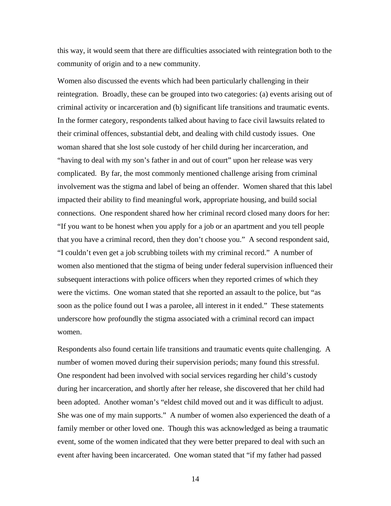this way, it would seem that there are difficulties associated with reintegration both to the community of origin and to a new community.

Women also discussed the events which had been particularly challenging in their reintegration. Broadly, these can be grouped into two categories: (a) events arising out of criminal activity or incarceration and (b) significant life transitions and traumatic events. In the former category, respondents talked about having to face civil lawsuits related to their criminal offences, substantial debt, and dealing with child custody issues. One woman shared that she lost sole custody of her child during her incarceration, and "having to deal with my son's father in and out of court" upon her release was very complicated. By far, the most commonly mentioned challenge arising from criminal involvement was the stigma and label of being an offender. Women shared that this label impacted their ability to find meaningful work, appropriate housing, and build social connections. One respondent shared how her criminal record closed many doors for her: "If you want to be honest when you apply for a job or an apartment and you tell people that you have a criminal record, then they don't choose you." A second respondent said, "I couldn't even get a job scrubbing toilets with my criminal record." A number of women also mentioned that the stigma of being under federal supervision influenced their subsequent interactions with police officers when they reported crimes of which they were the victims. One woman stated that she reported an assault to the police, but "as soon as the police found out I was a parolee, all interest in it ended." These statements underscore how profoundly the stigma associated with a criminal record can impact women.

Respondents also found certain life transitions and traumatic events quite challenging. A number of women moved during their supervision periods; many found this stressful. One respondent had been involved with social services regarding her child's custody during her incarceration, and shortly after her release, she discovered that her child had been adopted. Another woman's "eldest child moved out and it was difficult to adjust. She was one of my main supports." A number of women also experienced the death of a family member or other loved one. Though this was acknowledged as being a traumatic event, some of the women indicated that they were better prepared to deal with such an event after having been incarcerated. One woman stated that "if my father had passed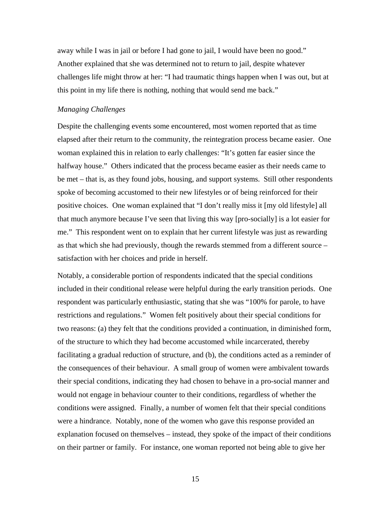<span id="page-23-0"></span>away while I was in jail or before I had gone to jail, I would have been no good." Another explained that she was determined not to return to jail, despite whatever challenges life might throw at her: "I had traumatic things happen when I was out, but at this point in my life there is nothing, nothing that would send me back."

# *Managing Challenges*

Despite the challenging events some encountered, most women reported that as time elapsed after their return to the community, the reintegration process became easier. One woman explained this in relation to early challenges: "It's gotten far easier since the halfway house." Others indicated that the process became easier as their needs came to be met – that is, as they found jobs, housing, and support systems. Still other respondents spoke of becoming accustomed to their new lifestyles or of being reinforced for their positive choices. One woman explained that "I don't really miss it [my old lifestyle] all that much anymore because I've seen that living this way [pro-socially] is a lot easier for me." This respondent went on to explain that her current lifestyle was just as rewarding as that which she had previously, though the rewards stemmed from a different source – satisfaction with her choices and pride in herself.

Notably, a considerable portion of respondents indicated that the special conditions included in their conditional release were helpful during the early transition periods. One respondent was particularly enthusiastic, stating that she was "100% for parole, to have restrictions and regulations." Women felt positively about their special conditions for two reasons: (a) they felt that the conditions provided a continuation, in diminished form, of the structure to which they had become accustomed while incarcerated, thereby facilitating a gradual reduction of structure, and (b), the conditions acted as a reminder of the consequences of their behaviour. A small group of women were ambivalent towards their special conditions, indicating they had chosen to behave in a pro-social manner and would not engage in behaviour counter to their conditions, regardless of whether the conditions were assigned. Finally, a number of women felt that their special conditions were a hindrance. Notably, none of the women who gave this response provided an explanation focused on themselves – instead, they spoke of the impact of their conditions on their partner or family. For instance, one woman reported not being able to give her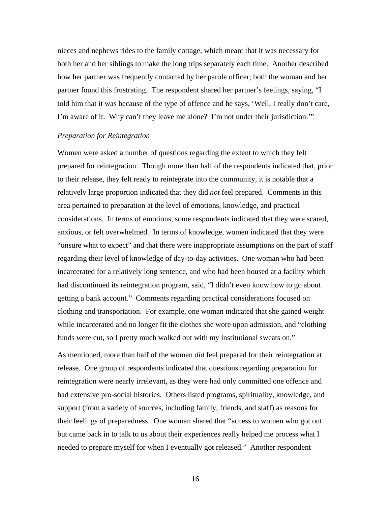<span id="page-24-0"></span>nieces and nephews rides to the family cottage, which meant that it was necessary for both her and her siblings to make the long trips separately each time. Another described how her partner was frequently contacted by her parole officer; both the woman and her partner found this frustrating. The respondent shared her partner's feelings, saying, "I told him that it was because of the type of offence and he says, 'Well, I really don't care, I'm aware of it. Why can't they leave me alone? I'm not under their jurisdiction.'"

#### *Preparation for Reintegration*

Women were asked a number of questions regarding the extent to which they felt prepared for reintegration. Though more than half of the respondents indicated that, prior to their release, they felt ready to reintegrate into the community, it is notable that a relatively large proportion indicated that they did *not* feel prepared. Comments in this area pertained to preparation at the level of emotions, knowledge, and practical considerations. In terms of emotions, some respondents indicated that they were scared, anxious, or felt overwhelmed. In terms of knowledge, women indicated that they were "unsure what to expect" and that there were inappropriate assumptions on the part of staff regarding their level of knowledge of day-to-day activities. One woman who had been incarcerated for a relatively long sentence, and who had been housed at a facility which had discontinued its reintegration program, said, "I didn't even know how to go about getting a bank account." Comments regarding practical considerations focused on clothing and transportation. For example, one woman indicated that she gained weight while incarcerated and no longer fit the clothes she wore upon admission, and "clothing funds were cut, so I pretty much walked out with my institutional sweats on."

As mentioned, more than half of the women *did* feel prepared for their reintegration at release. One group of respondents indicated that questions regarding preparation for reintegration were nearly irrelevant, as they were had only committed one offence and had extensive pro-social histories. Others listed programs, spirituality, knowledge, and support (from a variety of sources, including family, friends, and staff) as reasons for their feelings of preparedness. One woman shared that "access to women who got out but came back in to talk to us about their experiences really helped me process what I needed to prepare myself for when I eventually got released." Another respondent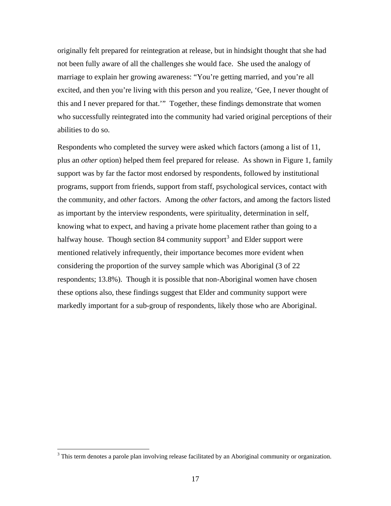originally felt prepared for reintegration at release, but in hindsight thought that she had not been fully aware of all the challenges she would face. She used the analogy of marriage to explain her growing awareness: "You're getting married, and you're all excited, and then you're living with this person and you realize, 'Gee, I never thought of this and I never prepared for that.'" Together, these findings demonstrate that women who successfully reintegrated into the community had varied original perceptions of their abilities to do so.

Respondents who completed the survey were asked which factors (among a list of 11, plus an *other* option) helped them feel prepared for release. As shown in Figure 1, family support was by far the factor most endorsed by respondents, followed by institutional programs, support from friends, support from staff, psychological services, contact with the community, and *other* factors. Among the *other* factors, and among the factors listed as important by the interview respondents, were spirituality, determination in self, knowing what to expect, and having a private home placement rather than going to a halfway house. Though section 84 community support<sup>[3](#page-25-0)</sup> and Elder support were mentioned relatively infrequently, their importance becomes more evident when considering the proportion of the survey sample which was Aboriginal (3 of 22 respondents; 13.8%). Though it is possible that non-Aboriginal women have chosen these options also, these findings suggest that Elder and community support were markedly important for a sub-group of respondents, likely those who are Aboriginal.

 $\overline{a}$ 

<span id="page-25-0"></span><sup>&</sup>lt;sup>3</sup> This term denotes a parole plan involving release facilitated by an Aboriginal community or organization.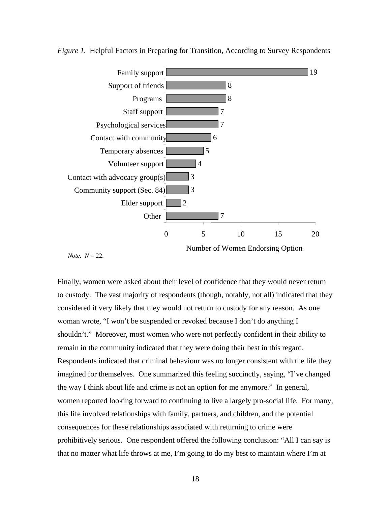

<span id="page-26-0"></span>*Figure 1.* Helpful Factors in Preparing for Transition, According to Survey Respondents

*Note.*  $N = 22$ .

Finally, women were asked about their level of confidence that they would never return to custody. The vast majority of respondents (though, notably, not all) indicated that they considered it very likely that they would not return to custody for any reason. As one woman wrote, "I won't be suspended or revoked because I don't do anything I shouldn't." Moreover, most women who were not perfectly confident in their ability to remain in the community indicated that they were doing their best in this regard. Respondents indicated that criminal behaviour was no longer consistent with the life they imagined for themselves. One summarized this feeling succinctly, saying, "I've changed the way I think about life and crime is not an option for me anymore." In general, women reported looking forward to continuing to live a largely pro-social life. For many, this life involved relationships with family, partners, and children, and the potential consequences for these relationships associated with returning to crime were prohibitively serious. One respondent offered the following conclusion: "All I can say is that no matter what life throws at me, I'm going to do my best to maintain where I'm at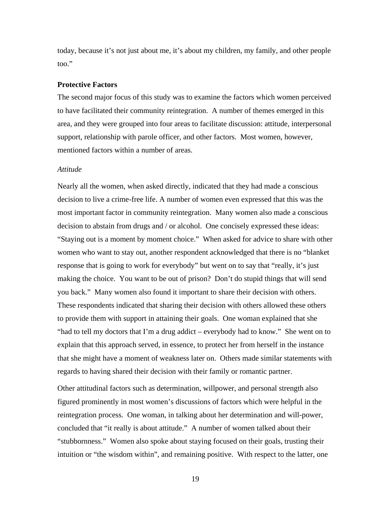<span id="page-27-0"></span>today, because it's not just about me, it's about my children, my family, and other people too."

#### **Protective Factors**

The second major focus of this study was to examine the factors which women perceived to have facilitated their community reintegration. A number of themes emerged in this area, and they were grouped into four areas to facilitate discussion: attitude, interpersonal support, relationship with parole officer, and other factors. Most women, however, mentioned factors within a number of areas.

### *Attitude*

Nearly all the women, when asked directly, indicated that they had made a conscious decision to live a crime-free life. A number of women even expressed that this was the most important factor in community reintegration. Many women also made a conscious decision to abstain from drugs and / or alcohol. One concisely expressed these ideas: "Staying out is a moment by moment choice." When asked for advice to share with other women who want to stay out, another respondent acknowledged that there is no "blanket response that is going to work for everybody" but went on to say that "really, it's just making the choice. You want to be out of prison? Don't do stupid things that will send you back." Many women also found it important to share their decision with others. These respondents indicated that sharing their decision with others allowed these others to provide them with support in attaining their goals. One woman explained that she "had to tell my doctors that I'm a drug addict – everybody had to know." She went on to explain that this approach served, in essence, to protect her from herself in the instance that she might have a moment of weakness later on. Others made similar statements with regards to having shared their decision with their family or romantic partner.

Other attitudinal factors such as determination, willpower, and personal strength also figured prominently in most women's discussions of factors which were helpful in the reintegration process. One woman, in talking about her determination and will-power, concluded that "it really is about attitude." A number of women talked about their "stubbornness." Women also spoke about staying focused on their goals, trusting their intuition or "the wisdom within", and remaining positive. With respect to the latter, one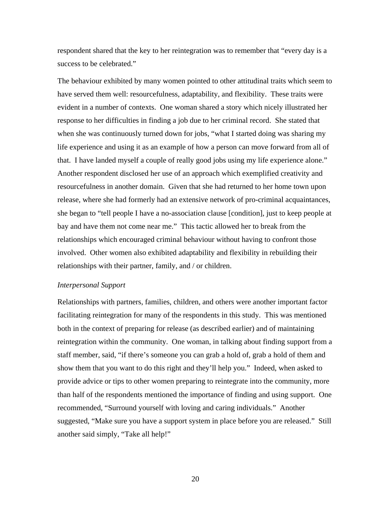<span id="page-28-0"></span>respondent shared that the key to her reintegration was to remember that "every day is a success to be celebrated."

The behaviour exhibited by many women pointed to other attitudinal traits which seem to have served them well: resourcefulness, adaptability, and flexibility. These traits were evident in a number of contexts. One woman shared a story which nicely illustrated her response to her difficulties in finding a job due to her criminal record. She stated that when she was continuously turned down for jobs, "what I started doing was sharing my life experience and using it as an example of how a person can move forward from all of that. I have landed myself a couple of really good jobs using my life experience alone." Another respondent disclosed her use of an approach which exemplified creativity and resourcefulness in another domain. Given that she had returned to her home town upon release, where she had formerly had an extensive network of pro-criminal acquaintances, she began to "tell people I have a no-association clause [condition], just to keep people at bay and have them not come near me." This tactic allowed her to break from the relationships which encouraged criminal behaviour without having to confront those involved. Other women also exhibited adaptability and flexibility in rebuilding their relationships with their partner, family, and / or children.

#### *Interpersonal Support*

Relationships with partners, families, children, and others were another important factor facilitating reintegration for many of the respondents in this study. This was mentioned both in the context of preparing for release (as described earlier) and of maintaining reintegration within the community. One woman, in talking about finding support from a staff member, said, "if there's someone you can grab a hold of, grab a hold of them and show them that you want to do this right and they'll help you." Indeed, when asked to provide advice or tips to other women preparing to reintegrate into the community, more than half of the respondents mentioned the importance of finding and using support. One recommended, "Surround yourself with loving and caring individuals." Another suggested, "Make sure you have a support system in place before you are released." Still another said simply, "Take all help!"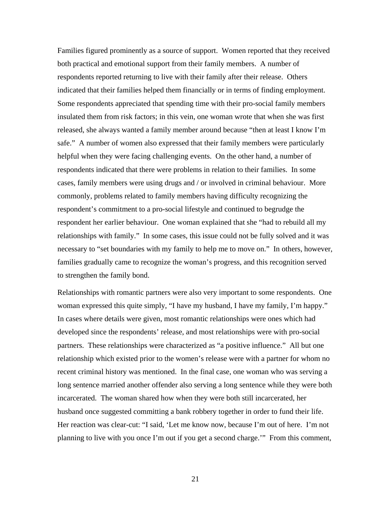Families figured prominently as a source of support. Women reported that they received both practical and emotional support from their family members. A number of respondents reported returning to live with their family after their release. Others indicated that their families helped them financially or in terms of finding employment. Some respondents appreciated that spending time with their pro-social family members insulated them from risk factors; in this vein, one woman wrote that when she was first released, she always wanted a family member around because "then at least I know I'm safe." A number of women also expressed that their family members were particularly helpful when they were facing challenging events. On the other hand, a number of respondents indicated that there were problems in relation to their families. In some cases, family members were using drugs and / or involved in criminal behaviour. More commonly, problems related to family members having difficulty recognizing the respondent's commitment to a pro-social lifestyle and continued to begrudge the respondent her earlier behaviour. One woman explained that she "had to rebuild all my relationships with family." In some cases, this issue could not be fully solved and it was necessary to "set boundaries with my family to help me to move on." In others, however, families gradually came to recognize the woman's progress, and this recognition served to strengthen the family bond.

Relationships with romantic partners were also very important to some respondents. One woman expressed this quite simply, "I have my husband, I have my family, I'm happy." In cases where details were given, most romantic relationships were ones which had developed since the respondents' release, and most relationships were with pro-social partners. These relationships were characterized as "a positive influence." All but one relationship which existed prior to the women's release were with a partner for whom no recent criminal history was mentioned. In the final case, one woman who was serving a long sentence married another offender also serving a long sentence while they were both incarcerated. The woman shared how when they were both still incarcerated, her husband once suggested committing a bank robbery together in order to fund their life. Her reaction was clear-cut: "I said, 'Let me know now, because I'm out of here. I'm not planning to live with you once I'm out if you get a second charge.'" From this comment,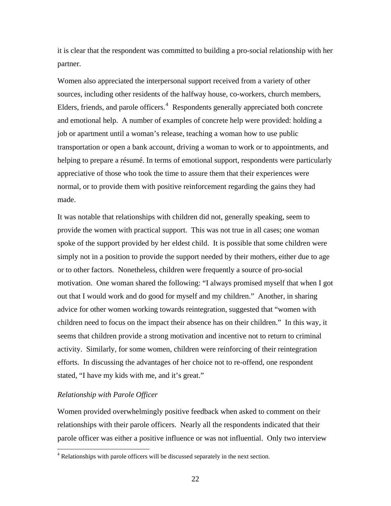<span id="page-30-0"></span>it is clear that the respondent was committed to building a pro-social relationship with her partner.

Women also appreciated the interpersonal support received from a variety of other sources, including other residents of the halfway house, co-workers, church members, Elders, friends, and parole officers.<sup>[4](#page-30-1)</sup> Respondents generally appreciated both concrete and emotional help. A number of examples of concrete help were provided: holding a job or apartment until a woman's release, teaching a woman how to use public transportation or open a bank account, driving a woman to work or to appointments, and helping to prepare a résumé. In terms of emotional support, respondents were particularly appreciative of those who took the time to assure them that their experiences were normal, or to provide them with positive reinforcement regarding the gains they had made.

It was notable that relationships with children did not, generally speaking, seem to provide the women with practical support. This was not true in all cases; one woman spoke of the support provided by her eldest child. It is possible that some children were simply not in a position to provide the support needed by their mothers, either due to age or to other factors. Nonetheless, children were frequently a source of pro-social motivation. One woman shared the following: "I always promised myself that when I got out that I would work and do good for myself and my children." Another, in sharing advice for other women working towards reintegration, suggested that "women with children need to focus on the impact their absence has on their children." In this way, it seems that children provide a strong motivation and incentive not to return to criminal activity. Similarly, for some women, children were reinforcing of their reintegration efforts. In discussing the advantages of her choice not to re-offend, one respondent stated, "I have my kids with me, and it's great."

# *Relationship with Parole Officer*

Women provided overwhelmingly positive feedback when asked to comment on their relationships with their parole officers. Nearly all the respondents indicated that their parole officer was either a positive influence or was not influential. Only two interview

<span id="page-30-1"></span> 4 Relationships with parole officers will be discussed separately in the next section.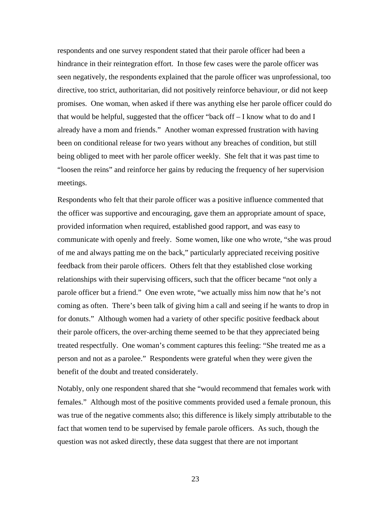respondents and one survey respondent stated that their parole officer had been a hindrance in their reintegration effort. In those few cases were the parole officer was seen negatively, the respondents explained that the parole officer was unprofessional, too directive, too strict, authoritarian, did not positively reinforce behaviour, or did not keep promises. One woman, when asked if there was anything else her parole officer could do that would be helpful, suggested that the officer "back off – I know what to do and I already have a mom and friends." Another woman expressed frustration with having been on conditional release for two years without any breaches of condition, but still being obliged to meet with her parole officer weekly. She felt that it was past time to "loosen the reins" and reinforce her gains by reducing the frequency of her supervision meetings.

Respondents who felt that their parole officer was a positive influence commented that the officer was supportive and encouraging, gave them an appropriate amount of space, provided information when required, established good rapport, and was easy to communicate with openly and freely. Some women, like one who wrote, "she was proud of me and always patting me on the back," particularly appreciated receiving positive feedback from their parole officers. Others felt that they established close working relationships with their supervising officers, such that the officer became "not only a parole officer but a friend." One even wrote, "we actually miss him now that he's not coming as often. There's been talk of giving him a call and seeing if he wants to drop in for donuts." Although women had a variety of other specific positive feedback about their parole officers, the over-arching theme seemed to be that they appreciated being treated respectfully. One woman's comment captures this feeling: "She treated me as a person and not as a parolee." Respondents were grateful when they were given the benefit of the doubt and treated considerately.

Notably, only one respondent shared that she "would recommend that females work with females." Although most of the positive comments provided used a female pronoun, this was true of the negative comments also; this difference is likely simply attributable to the fact that women tend to be supervised by female parole officers. As such, though the question was not asked directly, these data suggest that there are not important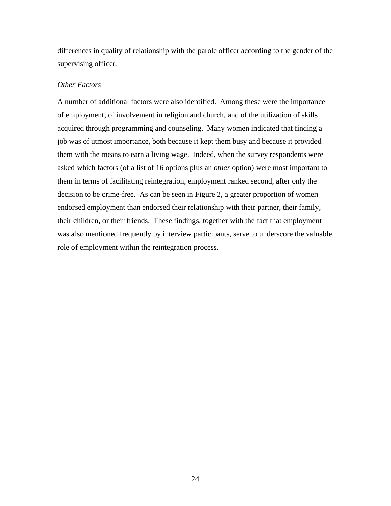<span id="page-32-0"></span>differences in quality of relationship with the parole officer according to the gender of the supervising officer.

# *Other Factors*

A number of additional factors were also identified. Among these were the importance of employment, of involvement in religion and church, and of the utilization of skills acquired through programming and counseling. Many women indicated that finding a job was of utmost importance, both because it kept them busy and because it provided them with the means to earn a living wage. Indeed, when the survey respondents were asked which factors (of a list of 16 options plus an *other* option) were most important to them in terms of facilitating reintegration, employment ranked second, after only the decision to be crime-free. As can be seen in Figure 2, a greater proportion of women endorsed employment than endorsed their relationship with their partner, their family, their children, or their friends. These findings, together with the fact that employment was also mentioned frequently by interview participants, serve to underscore the valuable role of employment within the reintegration process.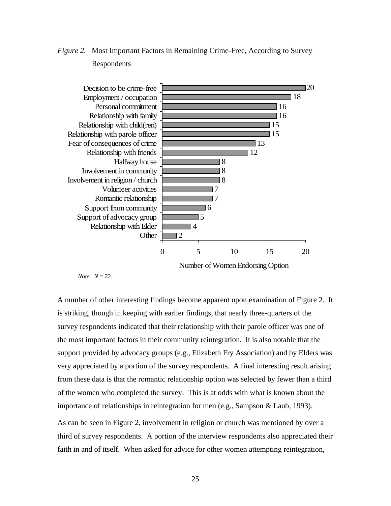

<span id="page-33-0"></span>*Figure 2.* Most Important Factors in Remaining Crime-Free, According to Survey Respondents

*Note.*  $N = 22$ .

A number of other interesting findings become apparent upon examination of Figure 2. It is striking, though in keeping with earlier findings, that nearly three-quarters of the survey respondents indicated that their relationship with their parole officer was one of the most important factors in their community reintegration. It is also notable that the support provided by advocacy groups (e.g., Elizabeth Fry Association) and by Elders was very appreciated by a portion of the survey respondents. A final interesting result arising from these data is that the romantic relationship option was selected by fewer than a third of the women who completed the survey. This is at odds with what is known about the importance of relationships in reintegration for men (e.g., Sampson & Laub, 1993).

As can be seen in Figure 2, involvement in religion or church was mentioned by over a third of survey respondents. A portion of the interview respondents also appreciated their faith in and of itself. When asked for advice for other women attempting reintegration,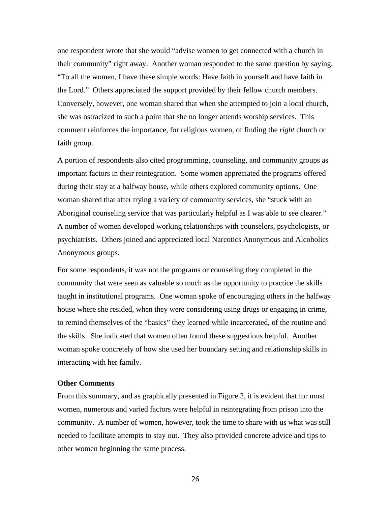<span id="page-34-0"></span>one respondent wrote that she would "advise women to get connected with a church in their community" right away. Another woman responded to the same question by saying, "To all the women, I have these simple words: Have faith in yourself and have faith in the Lord." Others appreciated the support provided by their fellow church members. Conversely, however, one woman shared that when she attempted to join a local church, she was ostracized to such a point that she no longer attends worship services. This comment reinforces the importance, for religious women, of finding the *right* church or faith group.

A portion of respondents also cited programming, counseling, and community groups as important factors in their reintegration. Some women appreciated the programs offered during their stay at a halfway house, while others explored community options. One woman shared that after trying a variety of community services, she "stuck with an Aboriginal counseling service that was particularly helpful as I was able to see clearer." A number of women developed working relationships with counselors, psychologists, or psychiatrists. Others joined and appreciated local Narcotics Anonymous and Alcoholics Anonymous groups.

For some respondents, it was not the programs or counseling they completed in the community that were seen as valuable so much as the opportunity to practice the skills taught in institutional programs. One woman spoke of encouraging others in the halfway house where she resided, when they were considering using drugs or engaging in crime, to remind themselves of the "basics" they learned while incarcerated, of the routine and the skills. She indicated that women often found these suggestions helpful. Another woman spoke concretely of how she used her boundary setting and relationship skills in interacting with her family.

# **Other Comments**

From this summary, and as graphically presented in Figure 2, it is evident that for most women, numerous and varied factors were helpful in reintegrating from prison into the community. A number of women, however, took the time to share with us what was still needed to facilitate attempts to stay out. They also provided concrete advice and tips to other women beginning the same process.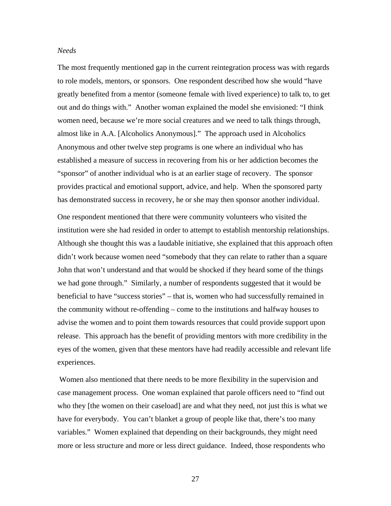## <span id="page-35-0"></span>*Needs*

The most frequently mentioned gap in the current reintegration process was with regards to role models, mentors, or sponsors. One respondent described how she would "have greatly benefited from a mentor (someone female with lived experience) to talk to, to get out and do things with." Another woman explained the model she envisioned: "I think women need, because we're more social creatures and we need to talk things through, almost like in A.A. [Alcoholics Anonymous]." The approach used in Alcoholics Anonymous and other twelve step programs is one where an individual who has established a measure of success in recovering from his or her addiction becomes the "sponsor" of another individual who is at an earlier stage of recovery. The sponsor provides practical and emotional support, advice, and help. When the sponsored party has demonstrated success in recovery, he or she may then sponsor another individual.

One respondent mentioned that there were community volunteers who visited the institution were she had resided in order to attempt to establish mentorship relationships. Although she thought this was a laudable initiative, she explained that this approach often didn't work because women need "somebody that they can relate to rather than a square John that won't understand and that would be shocked if they heard some of the things we had gone through." Similarly, a number of respondents suggested that it would be beneficial to have "success stories" – that is, women who had successfully remained in the community without re-offending – come to the institutions and halfway houses to advise the women and to point them towards resources that could provide support upon release. This approach has the benefit of providing mentors with more credibility in the eyes of the women, given that these mentors have had readily accessible and relevant life experiences.

 Women also mentioned that there needs to be more flexibility in the supervision and case management process. One woman explained that parole officers need to "find out who they [the women on their caseload] are and what they need, not just this is what we have for everybody. You can't blanket a group of people like that, there's too many variables." Women explained that depending on their backgrounds, they might need more or less structure and more or less direct guidance. Indeed, those respondents who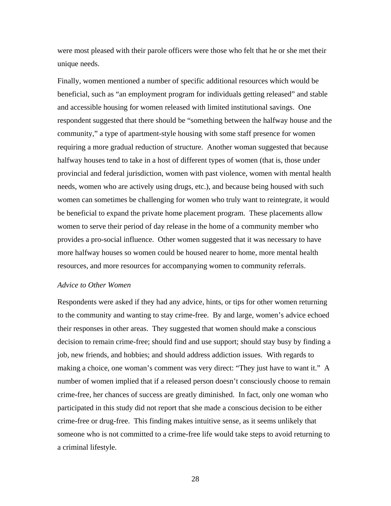<span id="page-36-0"></span>were most pleased with their parole officers were those who felt that he or she met their unique needs.

Finally, women mentioned a number of specific additional resources which would be beneficial, such as "an employment program for individuals getting released" and stable and accessible housing for women released with limited institutional savings. One respondent suggested that there should be "something between the halfway house and the community," a type of apartment-style housing with some staff presence for women requiring a more gradual reduction of structure. Another woman suggested that because halfway houses tend to take in a host of different types of women (that is, those under provincial and federal jurisdiction, women with past violence, women with mental health needs, women who are actively using drugs, etc.), and because being housed with such women can sometimes be challenging for women who truly want to reintegrate, it would be beneficial to expand the private home placement program. These placements allow women to serve their period of day release in the home of a community member who provides a pro-social influence. Other women suggested that it was necessary to have more halfway houses so women could be housed nearer to home, more mental health resources, and more resources for accompanying women to community referrals.

#### *Advice to Other Women*

Respondents were asked if they had any advice, hints, or tips for other women returning to the community and wanting to stay crime-free. By and large, women's advice echoed their responses in other areas. They suggested that women should make a conscious decision to remain crime-free; should find and use support; should stay busy by finding a job, new friends, and hobbies; and should address addiction issues. With regards to making a choice, one woman's comment was very direct: "They just have to want it." A number of women implied that if a released person doesn't consciously choose to remain crime-free, her chances of success are greatly diminished. In fact, only one woman who participated in this study did not report that she made a conscious decision to be either crime-free or drug-free. This finding makes intuitive sense, as it seems unlikely that someone who is not committed to a crime-free life would take steps to avoid returning to a criminal lifestyle.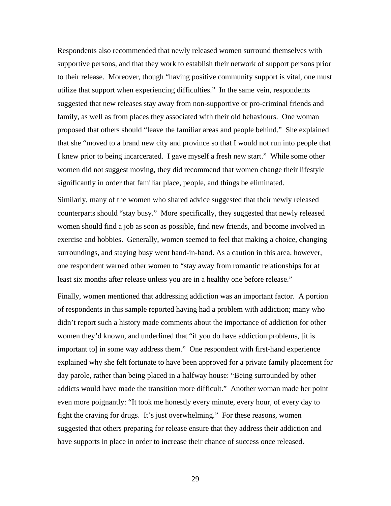Respondents also recommended that newly released women surround themselves with supportive persons, and that they work to establish their network of support persons prior to their release. Moreover, though "having positive community support is vital, one must utilize that support when experiencing difficulties." In the same vein, respondents suggested that new releases stay away from non-supportive or pro-criminal friends and family, as well as from places they associated with their old behaviours. One woman proposed that others should "leave the familiar areas and people behind." She explained that she "moved to a brand new city and province so that I would not run into people that I knew prior to being incarcerated. I gave myself a fresh new start." While some other women did not suggest moving, they did recommend that women change their lifestyle significantly in order that familiar place, people, and things be eliminated.

Similarly, many of the women who shared advice suggested that their newly released counterparts should "stay busy." More specifically, they suggested that newly released women should find a job as soon as possible, find new friends, and become involved in exercise and hobbies. Generally, women seemed to feel that making a choice, changing surroundings, and staying busy went hand-in-hand. As a caution in this area, however, one respondent warned other women to "stay away from romantic relationships for at least six months after release unless you are in a healthy one before release."

Finally, women mentioned that addressing addiction was an important factor. A portion of respondents in this sample reported having had a problem with addiction; many who didn't report such a history made comments about the importance of addiction for other women they'd known, and underlined that "if you do have addiction problems, [it is important to] in some way address them." One respondent with first-hand experience explained why she felt fortunate to have been approved for a private family placement for day parole, rather than being placed in a halfway house: "Being surrounded by other addicts would have made the transition more difficult." Another woman made her point even more poignantly: "It took me honestly every minute, every hour, of every day to fight the craving for drugs. It's just overwhelming." For these reasons, women suggested that others preparing for release ensure that they address their addiction and have supports in place in order to increase their chance of success once released.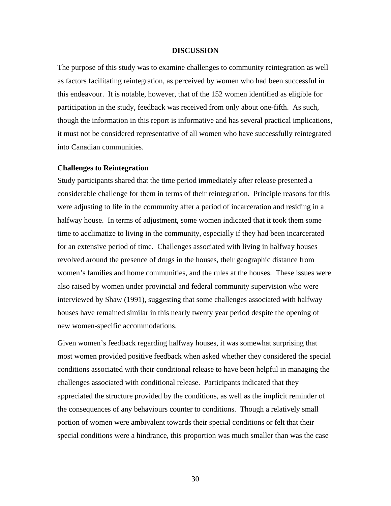### **DISCUSSION**

<span id="page-38-0"></span>The purpose of this study was to examine challenges to community reintegration as well as factors facilitating reintegration, as perceived by women who had been successful in this endeavour. It is notable, however, that of the 152 women identified as eligible for participation in the study, feedback was received from only about one-fifth. As such, though the information in this report is informative and has several practical implications, it must not be considered representative of all women who have successfully reintegrated into Canadian communities.

## **Challenges to Reintegration**

Study participants shared that the time period immediately after release presented a considerable challenge for them in terms of their reintegration. Principle reasons for this were adjusting to life in the community after a period of incarceration and residing in a halfway house. In terms of adjustment, some women indicated that it took them some time to acclimatize to living in the community, especially if they had been incarcerated for an extensive period of time. Challenges associated with living in halfway houses revolved around the presence of drugs in the houses, their geographic distance from women's families and home communities, and the rules at the houses. These issues were also raised by women under provincial and federal community supervision who were interviewed by Shaw (1991), suggesting that some challenges associated with halfway houses have remained similar in this nearly twenty year period despite the opening of new women-specific accommodations.

Given women's feedback regarding halfway houses, it was somewhat surprising that most women provided positive feedback when asked whether they considered the special conditions associated with their conditional release to have been helpful in managing the challenges associated with conditional release. Participants indicated that they appreciated the structure provided by the conditions, as well as the implicit reminder of the consequences of any behaviours counter to conditions. Though a relatively small portion of women were ambivalent towards their special conditions or felt that their special conditions were a hindrance, this proportion was much smaller than was the case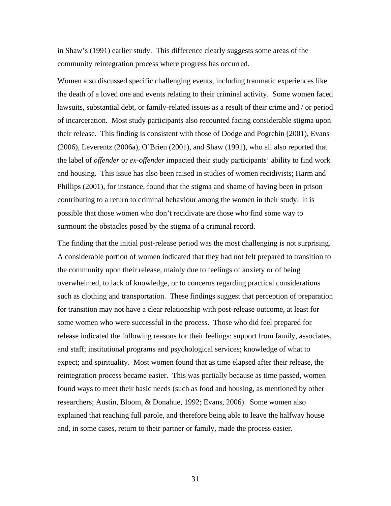in Shaw's (1991) earlier study. This difference clearly suggests some areas of the community reintegration process where progress has occurred.

Women also discussed specific challenging events, including traumatic experiences like the death of a loved one and events relating to their criminal activity. Some women faced lawsuits, substantial debt, or family-related issues as a result of their crime and / or period of incarceration. Most study participants also recounted facing considerable stigma upon their release. This finding is consistent with those of Dodge and Pogrebin (2001), Evans (2006), Leverentz (2006a), O'Brien (2001), and Shaw (1991), who all also reported that the label of *offender* or *ex-offender* impacted their study participants' ability to find work and housing. This issue has also been raised in studies of women recidivists; Harm and Phillips (2001), for instance, found that the stigma and shame of having been in prison contributing to a return to criminal behaviour among the women in their study. It is possible that those women who don't recidivate are those who find some way to surmount the obstacles posed by the stigma of a criminal record.

The finding that the initial post-release period was the most challenging is not surprising. A considerable portion of women indicated that they had not felt prepared to transition to the community upon their release, mainly due to feelings of anxiety or of being overwhelmed, to lack of knowledge, or to concerns regarding practical considerations such as clothing and transportation. These findings suggest that perception of preparation for transition may not have a clear relationship with post-release outcome, at least for some women who were successful in the process. Those who did feel prepared for release indicated the following reasons for their feelings: support from family, associates, and staff; institutional programs and psychological services; knowledge of what to expect; and spirituality. Most women found that as time elapsed after their release, the reintegration process became easier. This was partially because as time passed, women found ways to meet their basic needs (such as food and housing, as mentioned by other researchers; Austin, Bloom, & Donahue, 1992; Evans, 2006). Some women also explained that reaching full parole, and therefore being able to leave the halfway house and, in some cases, return to their partner or family, made the process easier.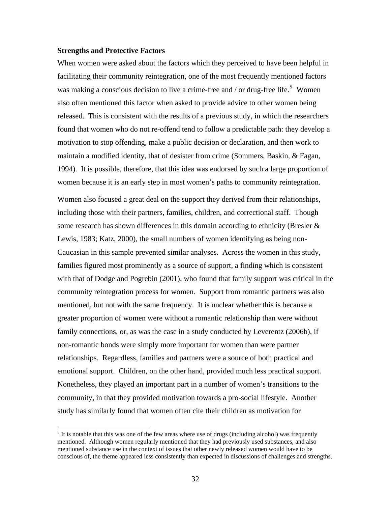### <span id="page-40-0"></span>**Strengths and Protective Factors**

 $\overline{a}$ 

When women were asked about the factors which they perceived to have been helpful in facilitating their community reintegration, one of the most frequently mentioned factors was making a conscious decision to live a crime-free and / or drug-free life.<sup>[5](#page-40-1)</sup> Women also often mentioned this factor when asked to provide advice to other women being released. This is consistent with the results of a previous study, in which the researchers found that women who do not re-offend tend to follow a predictable path: they develop a motivation to stop offending, make a public decision or declaration, and then work to maintain a modified identity, that of desister from crime (Sommers, Baskin, & Fagan, 1994). It is possible, therefore, that this idea was endorsed by such a large proportion of women because it is an early step in most women's paths to community reintegration. Women also focused a great deal on the support they derived from their relationships, including those with their partners, families, children, and correctional staff. Though some research has shown differences in this domain according to ethnicity (Bresler & Lewis, 1983; Katz, 2000), the small numbers of women identifying as being non-Caucasian in this sample prevented similar analyses. Across the women in this study, families figured most prominently as a source of support, a finding which is consistent with that of Dodge and Pogrebin (2001), who found that family support was critical in the community reintegration process for women. Support from romantic partners was also mentioned, but not with the same frequency. It is unclear whether this is because a greater proportion of women were without a romantic relationship than were without family connections, or, as was the case in a study conducted by Leverentz (2006b), if

non-romantic bonds were simply more important for women than were partner relationships. Regardless, families and partners were a source of both practical and emotional support. Children, on the other hand, provided much less practical support. Nonetheless, they played an important part in a number of women's transitions to the community, in that they provided motivation towards a pro-social lifestyle. Another study has similarly found that women often cite their children as motivation for

<span id="page-40-1"></span> $<sup>5</sup>$  It is notable that this was one of the few areas where use of drugs (including alcohol) was frequently</sup> mentioned. Although women regularly mentioned that they had previously used substances, and also mentioned substance use in the context of issues that other newly released women would have to be conscious of, the theme appeared less consistently than expected in discussions of challenges and strengths.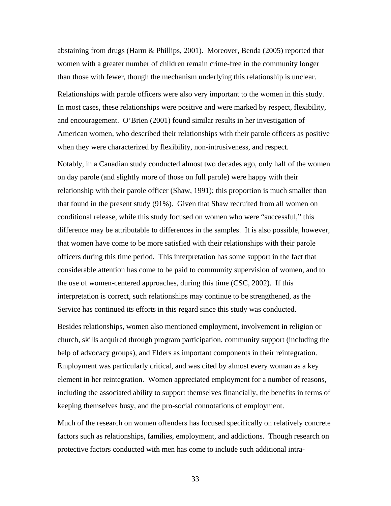abstaining from drugs (Harm & Phillips, 2001). Moreover, Benda (2005) reported that women with a greater number of children remain crime-free in the community longer than those with fewer, though the mechanism underlying this relationship is unclear.

Relationships with parole officers were also very important to the women in this study. In most cases, these relationships were positive and were marked by respect, flexibility, and encouragement. O'Brien (2001) found similar results in her investigation of American women, who described their relationships with their parole officers as positive when they were characterized by flexibility, non-intrusiveness, and respect.

Notably, in a Canadian study conducted almost two decades ago, only half of the women on day parole (and slightly more of those on full parole) were happy with their relationship with their parole officer (Shaw, 1991); this proportion is much smaller than that found in the present study (91%). Given that Shaw recruited from all women on conditional release, while this study focused on women who were "successful," this difference may be attributable to differences in the samples. It is also possible, however, that women have come to be more satisfied with their relationships with their parole officers during this time period. This interpretation has some support in the fact that considerable attention has come to be paid to community supervision of women, and to the use of women-centered approaches, during this time (CSC, 2002). If this interpretation is correct, such relationships may continue to be strengthened, as the Service has continued its efforts in this regard since this study was conducted.

Besides relationships, women also mentioned employment, involvement in religion or church, skills acquired through program participation, community support (including the help of advocacy groups), and Elders as important components in their reintegration. Employment was particularly critical, and was cited by almost every woman as a key element in her reintegration. Women appreciated employment for a number of reasons, including the associated ability to support themselves financially, the benefits in terms of keeping themselves busy, and the pro-social connotations of employment.

Much of the research on women offenders has focused specifically on relatively concrete factors such as relationships, families, employment, and addictions. Though research on protective factors conducted with men has come to include such additional intra-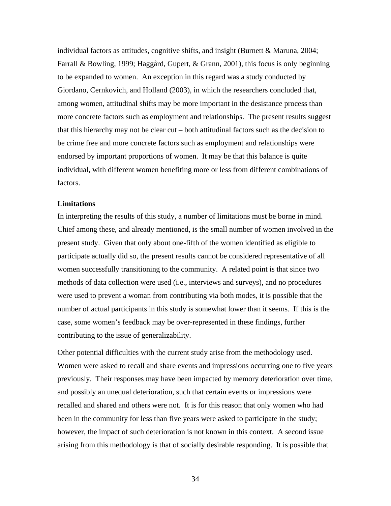<span id="page-42-0"></span>individual factors as attitudes, cognitive shifts, and insight (Burnett & Maruna, 2004; Farrall & Bowling, 1999; Haggård, Gupert, & Grann, 2001), this focus is only beginning to be expanded to women. An exception in this regard was a study conducted by Giordano, Cernkovich, and Holland (2003), in which the researchers concluded that, among women, attitudinal shifts may be more important in the desistance process than more concrete factors such as employment and relationships. The present results suggest that this hierarchy may not be clear cut – both attitudinal factors such as the decision to be crime free and more concrete factors such as employment and relationships were endorsed by important proportions of women. It may be that this balance is quite individual, with different women benefiting more or less from different combinations of factors.

### **Limitations**

In interpreting the results of this study, a number of limitations must be borne in mind. Chief among these, and already mentioned, is the small number of women involved in the present study. Given that only about one-fifth of the women identified as eligible to participate actually did so, the present results cannot be considered representative of all women successfully transitioning to the community. A related point is that since two methods of data collection were used (i.e., interviews and surveys), and no procedures were used to prevent a woman from contributing via both modes, it is possible that the number of actual participants in this study is somewhat lower than it seems. If this is the case, some women's feedback may be over-represented in these findings, further contributing to the issue of generalizability.

Other potential difficulties with the current study arise from the methodology used. Women were asked to recall and share events and impressions occurring one to five years previously. Their responses may have been impacted by memory deterioration over time, and possibly an unequal deterioration, such that certain events or impressions were recalled and shared and others were not. It is for this reason that only women who had been in the community for less than five years were asked to participate in the study; however, the impact of such deterioration is not known in this context. A second issue arising from this methodology is that of socially desirable responding. It is possible that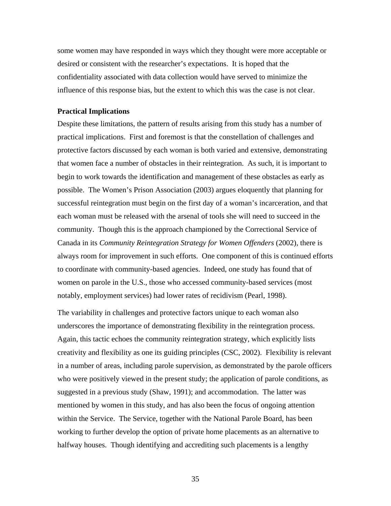<span id="page-43-0"></span>some women may have responded in ways which they thought were more acceptable or desired or consistent with the researcher's expectations. It is hoped that the confidentiality associated with data collection would have served to minimize the influence of this response bias, but the extent to which this was the case is not clear.

#### **Practical Implications**

Despite these limitations, the pattern of results arising from this study has a number of practical implications. First and foremost is that the constellation of challenges and protective factors discussed by each woman is both varied and extensive, demonstrating that women face a number of obstacles in their reintegration. As such, it is important to begin to work towards the identification and management of these obstacles as early as possible. The Women's Prison Association (2003) argues eloquently that planning for successful reintegration must begin on the first day of a woman's incarceration, and that each woman must be released with the arsenal of tools she will need to succeed in the community. Though this is the approach championed by the Correctional Service of Canada in its *Community Reintegration Strategy for Women Offenders* (2002), there is always room for improvement in such efforts. One component of this is continued efforts to coordinate with community-based agencies. Indeed, one study has found that of women on parole in the U.S., those who accessed community-based services (most notably, employment services) had lower rates of recidivism (Pearl, 1998).

The variability in challenges and protective factors unique to each woman also underscores the importance of demonstrating flexibility in the reintegration process. Again, this tactic echoes the community reintegration strategy, which explicitly lists creativity and flexibility as one its guiding principles (CSC, 2002). Flexibility is relevant in a number of areas, including parole supervision, as demonstrated by the parole officers who were positively viewed in the present study; the application of parole conditions, as suggested in a previous study (Shaw, 1991); and accommodation. The latter was mentioned by women in this study, and has also been the focus of ongoing attention within the Service. The Service, together with the National Parole Board, has been working to further develop the option of private home placements as an alternative to halfway houses. Though identifying and accrediting such placements is a lengthy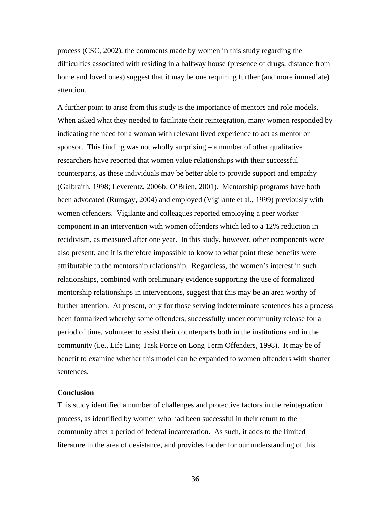<span id="page-44-0"></span>process (CSC, 2002), the comments made by women in this study regarding the difficulties associated with residing in a halfway house (presence of drugs, distance from home and loved ones) suggest that it may be one requiring further (and more immediate) attention.

A further point to arise from this study is the importance of mentors and role models. When asked what they needed to facilitate their reintegration, many women responded by indicating the need for a woman with relevant lived experience to act as mentor or sponsor. This finding was not wholly surprising – a number of other qualitative researchers have reported that women value relationships with their successful counterparts, as these individuals may be better able to provide support and empathy (Galbraith, 1998; Leverentz, 2006b; O'Brien, 2001). Mentorship programs have both been advocated (Rumgay, 2004) and employed (Vigilante et al., 1999) previously with women offenders. Vigilante and colleagues reported employing a peer worker component in an intervention with women offenders which led to a 12% reduction in recidivism, as measured after one year. In this study, however, other components were also present, and it is therefore impossible to know to what point these benefits were attributable to the mentorship relationship. Regardless, the women's interest in such relationships, combined with preliminary evidence supporting the use of formalized mentorship relationships in interventions, suggest that this may be an area worthy of further attention. At present, only for those serving indeterminate sentences has a process been formalized whereby some offenders, successfully under community release for a period of time, volunteer to assist their counterparts both in the institutions and in the community (i.e., Life Line; Task Force on Long Term Offenders, 1998). It may be of benefit to examine whether this model can be expanded to women offenders with shorter sentences.

#### **Conclusion**

This study identified a number of challenges and protective factors in the reintegration process, as identified by women who had been successful in their return to the community after a period of federal incarceration. As such, it adds to the limited literature in the area of desistance, and provides fodder for our understanding of this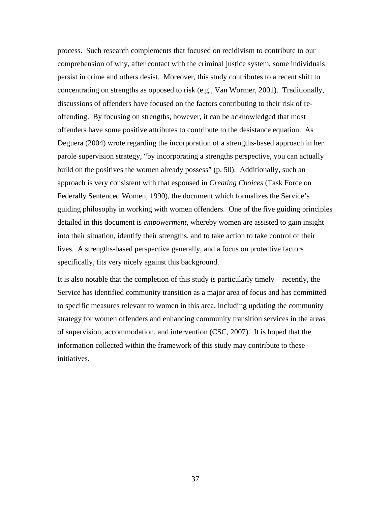process. Such research complements that focused on recidivism to contribute to our comprehension of why, after contact with the criminal justice system, some individuals persist in crime and others desist. Moreover, this study contributes to a recent shift to concentrating on strengths as opposed to risk (e.g., Van Wormer, 2001). Traditionally, discussions of offenders have focused on the factors contributing to their risk of reoffending. By focusing on strengths, however, it can be acknowledged that most offenders have some positive attributes to contribute to the desistance equation. As Deguera (2004) wrote regarding the incorporation of a strengths-based approach in her parole supervision strategy, "by incorporating a strengths perspective, you can actually build on the positives the women already possess" (p. 50). Additionally, such an approach is very consistent with that espoused in *Creating Choices* (Task Force on Federally Sentenced Women, 1990), the document which formalizes the Service's guiding philosophy in working with women offenders. One of the five guiding principles detailed in this document is *empowerment*, whereby women are assisted to gain insight into their situation, identify their strengths, and to take action to take control of their lives. A strengths-based perspective generally, and a focus on protective factors specifically, fits very nicely against this background.

It is also notable that the completion of this study is particularly timely – recently, the Service has identified community transition as a major area of focus and has committed to specific measures relevant to women in this area, including updating the community strategy for women offenders and enhancing community transition services in the areas of supervision, accommodation, and intervention (CSC, 2007). It is hoped that the information collected within the framework of this study may contribute to these initiatives.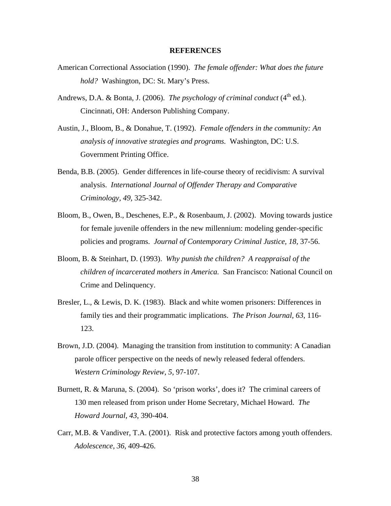# **REFERENCES**

- <span id="page-46-0"></span>American Correctional Association (1990). *The female offender: What does the future hold?* Washington, DC: St. Mary's Press.
- Andrews, D.A. & Bonta, J. (2006). *The psychology of criminal conduct* (4<sup>th</sup> ed.). Cincinnati, OH: Anderson Publishing Company.
- Austin, J., Bloom, B., & Donahue, T. (1992). *Female offenders in the community: An analysis of innovative strategies and programs.* Washington, DC: U.S. Government Printing Office.
- Benda, B.B. (2005). Gender differences in life-course theory of recidivism: A survival analysis. *International Journal of Offender Therapy and Comparative Criminology, 49,* 325-342.
- Bloom, B., Owen, B., Deschenes, E.P., & Rosenbaum, J. (2002). Moving towards justice for female juvenile offenders in the new millennium: modeling gender-specific policies and programs. *Journal of Contemporary Criminal Justice, 18,* 37-56.
- Bloom, B. & Steinhart, D. (1993). *Why punish the children? A reappraisal of the children of incarcerated mothers in America.* San Francisco: National Council on Crime and Delinquency.
- Bresler, L., & Lewis, D. K. (1983). Black and white women prisoners: Differences in family ties and their programmatic implications. *The Prison Journal, 63*, 116- 123.
- Brown, J.D. (2004). Managing the transition from institution to community: A Canadian parole officer perspective on the needs of newly released federal offenders. *Western Criminology Review, 5,* 97-107.
- Burnett, R. & Maruna, S. (2004). So 'prison works', does it? The criminal careers of 130 men released from prison under Home Secretary, Michael Howard. *The Howard Journal, 43,* 390-404.
- Carr, M.B. & Vandiver, T.A. (2001). Risk and protective factors among youth offenders. *Adolescence, 36,* 409-426.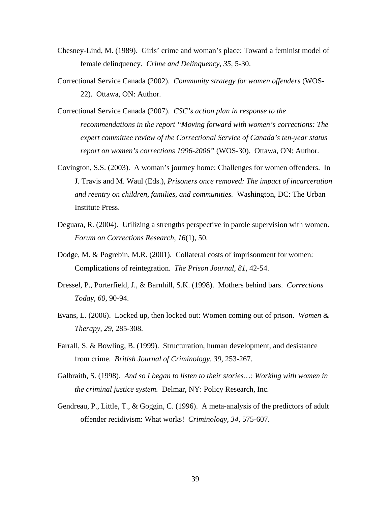- Chesney-Lind, M. (1989). Girls' crime and woman's place: Toward a feminist model of female delinquency. *Crime and Delinquency, 35,* 5-30.
- Correctional Service Canada (2002). *Community strategy for women offenders* (WOS-22). Ottawa, ON: Author.
- Correctional Service Canada (2007). *CSC's action plan in response to the recommendations in the report "Moving forward with women's corrections: The expert committee review of the Correctional Service of Canada's ten-year status report on women's corrections 1996-2006"* (WOS-30). Ottawa, ON: Author.
- Covington, S.S. (2003). A woman's journey home: Challenges for women offenders. In J. Travis and M. Waul (Eds.), *Prisoners once removed: The impact of incarceration and reentry on children, families, and communities.* Washington, DC: The Urban Institute Press.
- Deguara, R. (2004). Utilizing a strengths perspective in parole supervision with women. *Forum on Corrections Research, 16*(1), 50.
- Dodge, M. & Pogrebin, M.R. (2001). Collateral costs of imprisonment for women: Complications of reintegration. *The Prison Journal, 81,* 42-54.
- Dressel, P., Porterfield, J., & Barnhill, S.K. (1998). Mothers behind bars. *Corrections Today, 60,* 90-94.
- Evans, L. (2006). Locked up, then locked out: Women coming out of prison. *Women & Therapy, 29,* 285-308.
- Farrall, S. & Bowling, B. (1999). Structuration, human development, and desistance from crime. *British Journal of Criminology, 39,* 253-267.
- Galbraith, S. (1998). *And so I began to listen to their stories…: Working with women in the criminal justice system.* Delmar, NY: Policy Research, Inc.
- Gendreau, P., Little, T., & Goggin, C. (1996). A meta-analysis of the predictors of adult offender recidivism: What works! *Criminology, 34,* 575-607.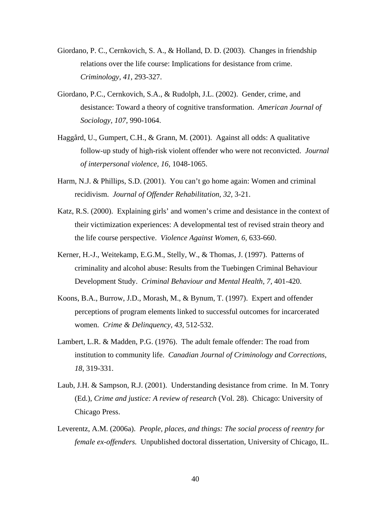- Giordano, P. C., Cernkovich, S. A., & Holland, D. D. (2003). Changes in friendship relations over the life course: Implications for desistance from crime. *Criminology, 41*, 293-327.
- Giordano, P.C., Cernkovich, S.A., & Rudolph, J.L. (2002). Gender, crime, and desistance: Toward a theory of cognitive transformation. *American Journal of Sociology, 107,* 990-1064.
- Haggård, U., Gumpert, C.H., & Grann, M. (2001). Against all odds: A qualitative follow-up study of high-risk violent offender who were not reconvicted. *Journal of interpersonal violence, 16,* 1048-1065.
- Harm, N.J. & Phillips, S.D. (2001). You can't go home again: Women and criminal recidivism. *Journal of Offender Rehabilitation, 32,* 3-21.
- Katz, R.S. (2000). Explaining girls' and women's crime and desistance in the context of their victimization experiences: A developmental test of revised strain theory and the life course perspective. *Violence Against Women, 6,* 633-660.
- Kerner, H.-J., Weitekamp, E.G.M., Stelly, W., & Thomas, J. (1997). Patterns of criminality and alcohol abuse: Results from the Tuebingen Criminal Behaviour Development Study. *Criminal Behaviour and Mental Health, 7,* 401-420.
- Koons, B.A., Burrow, J.D., Morash, M., & Bynum, T. (1997). Expert and offender perceptions of program elements linked to successful outcomes for incarcerated women. *Crime & Delinquency, 43,* 512-532.
- Lambert, L.R. & Madden, P.G. (1976). The adult female offender: The road from institution to community life. *Canadian Journal of Criminology and Corrections, 18,* 319-331.
- Laub, J.H. & Sampson, R.J. (2001). Understanding desistance from crime. In M. Tonry (Ed.), *Crime and justice: A review of research* (Vol. 28). Chicago: University of Chicago Press.
- Leverentz, A.M. (2006a). *People, places, and things: The social process of reentry for female ex-offenders.* Unpublished doctoral dissertation, University of Chicago, IL.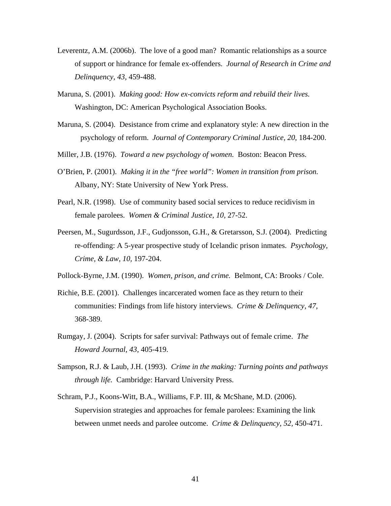- Leverentz, A.M. (2006b). The love of a good man? Romantic relationships as a source of support or hindrance for female ex-offenders. *Journal of Research in Crime and Delinquency, 43,* 459-488.
- Maruna, S. (2001). *Making good: How ex-convicts reform and rebuild their lives.*  Washington, DC: American Psychological Association Books.
- Maruna, S. (2004). Desistance from crime and explanatory style: A new direction in the psychology of reform. *Journal of Contemporary Criminal Justice, 20*, 184-200.
- Miller, J.B. (1976). *Toward a new psychology of women.* Boston: Beacon Press.
- O'Brien, P. (2001). *Making it in the "free world": Women in transition from prison.*  Albany, NY: State University of New York Press.
- Pearl, N.R. (1998). Use of community based social services to reduce recidivism in female parolees. *Women & Criminal Justice, 10,* 27-52.
- Peersen, M., Sugurdsson, J.F., Gudjonsson, G.H., & Gretarsson, S.J. (2004). Predicting re-offending: A 5-year prospective study of Icelandic prison inmates. *Psychology, Crime, & Law, 10,* 197-204.
- Pollock-Byrne, J.M. (1990). *Women, prison, and crime.* Belmont, CA: Brooks / Cole.
- Richie, B.E. (2001). Challenges incarcerated women face as they return to their communities: Findings from life history interviews. *Crime & Delinquency, 47,*  368-389.
- Rumgay, J. (2004). Scripts for safer survival: Pathways out of female crime. *The Howard Journal, 43,* 405-419.
- Sampson, R.J. & Laub, J.H. (1993). *Crime in the making: Turning points and pathways through life.* Cambridge: Harvard University Press.
- Schram, P.J., Koons-Witt, B.A., Williams, F.P. III, & McShane, M.D. (2006). Supervision strategies and approaches for female parolees: Examining the link between unmet needs and parolee outcome. *Crime & Delinquency, 52,* 450-471.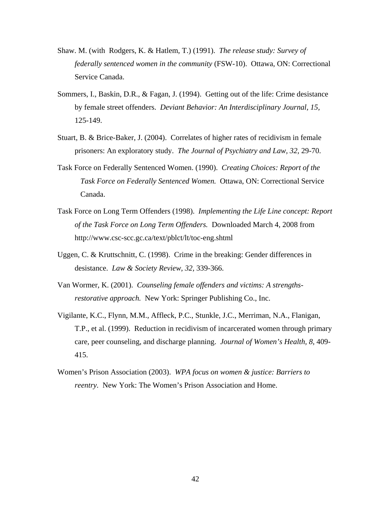- Shaw. M. (with Rodgers, K. & Hatlem, T.) (1991). *The release study: Survey of federally sentenced women in the community* (FSW-10). Ottawa, ON: Correctional Service Canada.
- Sommers, I., Baskin, D.R., & Fagan, J. (1994). Getting out of the life: Crime desistance by female street offenders. *Deviant Behavior: An Interdisciplinary Journal, 15,*  125-149.
- Stuart, B. & Brice-Baker, J. (2004). Correlates of higher rates of recidivism in female prisoners: An exploratory study. *The Journal of Psychiatry and Law, 32,* 29-70.
- Task Force on Federally Sentenced Women. (1990). *Creating Choices: Report of the Task Force on Federally Sentenced Women.* Ottawa, ON: Correctional Service Canada.
- Task Force on Long Term Offenders (1998). *Implementing the Life Line concept: Report of the Task Force on Long Term Offenders.* Downloaded March 4, 2008 from http://www.csc-scc.gc.ca/text/pblct/lt/toc-eng.shtml
- Uggen, C. & Kruttschnitt, C. (1998). Crime in the breaking: Gender differences in desistance. *Law & Society Review, 32,* 339-366.
- Van Wormer, K. (2001). *Counseling female offenders and victims: A strengthsrestorative approach.* New York: Springer Publishing Co., Inc.
- Vigilante, K.C., Flynn, M.M., Affleck, P.C., Stunkle, J.C., Merriman, N.A., Flanigan, T.P., et al. (1999). Reduction in recidivism of incarcerated women through primary care, peer counseling, and discharge planning. *Journal of Women's Health, 8,* 409- 415.
- Women's Prison Association (2003). *WPA focus on women & justice: Barriers to reentry.* New York: The Women's Prison Association and Home.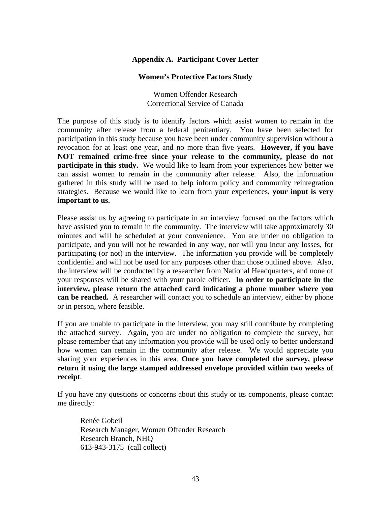# **Appendix A. Participant Cover Letter**

## **Women's Protective Factors Study**

Women Offender Research Correctional Service of Canada

<span id="page-51-0"></span>The purpose of this study is to identify factors which assist women to remain in the community after release from a federal penitentiary. You have been selected for participation in this study because you have been under community supervision without a revocation for at least one year, and no more than five years. **However, if you have NOT remained crime-free since your release to the community, please do not participate in this study.** We would like to learn from your experiences how better we can assist women to remain in the community after release. Also, the information gathered in this study will be used to help inform policy and community reintegration strategies. Because we would like to learn from your experiences, **your input is very important to us.** 

Please assist us by agreeing to participate in an interview focused on the factors which have assisted you to remain in the community. The interview will take approximately 30 minutes and will be scheduled at your convenience. You are under no obligation to participate, and you will not be rewarded in any way, nor will you incur any losses, for participating (or not) in the interview. The information you provide will be completely confidential and will not be used for any purposes other than those outlined above. Also, the interview will be conducted by a researcher from National Headquarters, and none of your responses will be shared with your parole officer. **In order to participate in the interview, please return the attached card indicating a phone number where you can be reached.** A researcher will contact you to schedule an interview, either by phone or in person, where feasible.

If you are unable to participate in the interview, you may still contribute by completing the attached survey. Again, you are under no obligation to complete the survey, but please remember that any information you provide will be used only to better understand how women can remain in the community after release. We would appreciate you sharing your experiences in this area. **Once you have completed the survey, please return it using the large stamped addressed envelope provided within two weeks of receipt**.

If you have any questions or concerns about this study or its components, please contact me directly:

 Renée Gobeil Research Manager, Women Offender Research Research Branch, NHQ 613-943-3175 (call collect)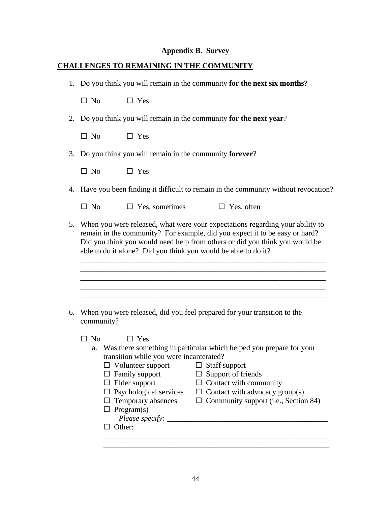# **Appendix B. Survey**

# <span id="page-52-0"></span>**CHALLENGES TO REMAINING IN THE COMMUNITY**

1. Do you think you will remain in the community **for the next six months**?

 $\square$  No  $\square$  Yes

2. Do you think you will remain in the community **for the next year**?

 $\Box$  No  $\Box$  Yes

3. Do you think you will remain in the community **forever**?

 $\square$  No  $\square$  Yes

4. Have you been finding it difficult to remain in the community without revocation?

 $\Box$  No  $\Box$  Yes, sometimes  $\Box$  Yes, often

5. When you were released, what were your expectations regarding your ability to remain in the community? For example, did you expect it to be easy or hard? Did you think you would need help from others or did you think you would be able to do it alone? Did you think you would be able to do it?

 \_\_\_\_\_\_\_\_\_\_\_\_\_\_\_\_\_\_\_\_\_\_\_\_\_\_\_\_\_\_\_\_\_\_\_\_\_\_\_\_\_\_\_\_\_\_\_\_\_\_\_\_\_\_\_\_\_\_\_\_\_\_\_\_ \_\_\_\_\_\_\_\_\_\_\_\_\_\_\_\_\_\_\_\_\_\_\_\_\_\_\_\_\_\_\_\_\_\_\_\_\_\_\_\_\_\_\_\_\_\_\_\_\_\_\_\_\_\_\_\_\_\_\_\_\_\_\_\_ \_\_\_\_\_\_\_\_\_\_\_\_\_\_\_\_\_\_\_\_\_\_\_\_\_\_\_\_\_\_\_\_\_\_\_\_\_\_\_\_\_\_\_\_\_\_\_\_\_\_\_\_\_\_\_\_\_\_\_\_\_\_\_\_

\_\_\_\_\_\_\_\_\_\_\_\_\_\_\_\_\_\_\_\_\_\_\_\_\_\_\_\_\_\_\_\_\_\_\_\_\_\_\_\_\_\_\_\_\_\_\_\_\_\_\_\_\_\_\_\_\_\_\_\_\_\_\_\_

6. When you were released, did you feel prepared for your transition to the community?

 $\Box$  No  $\Box$  Yes

| a. Was there something in particular which helped you prepare for your |
|------------------------------------------------------------------------|
| transition while you were incarcerated?                                |

| $\Box$ Volunteer support                 | $\Box$ Staff support                        |
|------------------------------------------|---------------------------------------------|
| $\Box$ Family support                    | $\Box$ Support of friends                   |
| $\Box$ Elder support                     | $\Box$ Contact with community               |
| $\Box$ Psychological services            | $\Box$ Contact with advocacy group(s)       |
| $\Box$ Temporary absences                | $\Box$ Community support (i.e., Section 84) |
| $\Box$ Program(s)                        |                                             |
| Please specify: $\overline{\phantom{a}}$ |                                             |
| Other:                                   |                                             |

\_\_\_\_\_\_\_\_\_\_\_\_\_\_\_\_\_\_\_\_\_\_\_\_\_\_\_\_\_\_\_\_\_\_\_\_\_\_\_\_\_\_\_\_\_\_\_\_\_\_\_\_\_\_\_\_\_\_\_

\_\_\_\_\_\_\_\_\_\_\_\_\_\_\_\_\_\_\_\_\_\_\_\_\_\_\_\_\_\_\_\_\_\_\_\_\_\_\_\_\_\_\_\_\_\_\_\_\_\_\_\_\_\_\_\_\_\_\_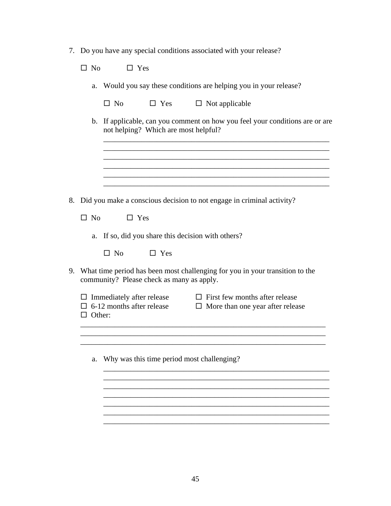7. Do you have any special conditions associated with your release?

 $\square$  No  $\square$  Yes

a. Would you say these conditions are helping you in your release?

|  |                                                                                                                              | $\square$ No<br>$\Box$ Yes<br>$\Box$ Not applicable                                                                                                      |
|--|------------------------------------------------------------------------------------------------------------------------------|----------------------------------------------------------------------------------------------------------------------------------------------------------|
|  | $\mathbf b$ .                                                                                                                | If applicable, can you comment on how you feel your conditions are or are<br>not helping? Which are most helpful?                                        |
|  |                                                                                                                              |                                                                                                                                                          |
|  |                                                                                                                              |                                                                                                                                                          |
|  |                                                                                                                              | 8. Did you make a conscious decision to not engage in criminal activity?                                                                                 |
|  | $\Box$ No                                                                                                                    | $\Box$ Yes                                                                                                                                               |
|  | a.                                                                                                                           | If so, did you share this decision with others?                                                                                                          |
|  |                                                                                                                              | $\Box$ No<br>$\Box$ Yes                                                                                                                                  |
|  | 9. What time period has been most challenging for you in your transition to the<br>community? Please check as many as apply. |                                                                                                                                                          |
|  | $\Box$ Other:                                                                                                                | $\Box$ Immediately after release<br>$\Box$ First few months after release<br>$\Box$ 6-12 months after release<br>$\Box$ More than one year after release |
|  |                                                                                                                              |                                                                                                                                                          |
|  | a.                                                                                                                           | Why was this time period most challenging?                                                                                                               |
|  |                                                                                                                              |                                                                                                                                                          |
|  |                                                                                                                              |                                                                                                                                                          |
|  |                                                                                                                              |                                                                                                                                                          |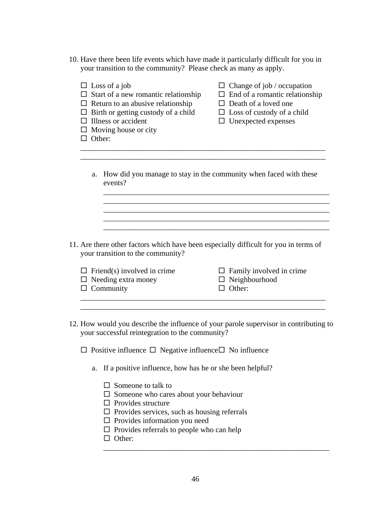10. Have there been life events which have made it particularly difficult for you in your transition to the community? Please check as many as apply.

| $\Box$ Other: | $\Box$ Loss of a job<br>$\Box$ Start of a new romantic relationship<br>$\Box$ Return to an abusive relationship<br>$\Box$ Birth or getting custody of a child<br>$\Box$ Illness or accident<br>$\Box$ Moving house or city | $\Box$ Change of job / occupation<br>$\Box$ End of a romantic relationship<br>$\Box$ Death of a loved one<br>$\square$ Loss of custody of a child<br>$\Box$ Unexpected expenses |
|---------------|----------------------------------------------------------------------------------------------------------------------------------------------------------------------------------------------------------------------------|---------------------------------------------------------------------------------------------------------------------------------------------------------------------------------|
| a.            | events?                                                                                                                                                                                                                    | How did you manage to stay in the community when faced with these                                                                                                               |
|               |                                                                                                                                                                                                                            |                                                                                                                                                                                 |
|               |                                                                                                                                                                                                                            |                                                                                                                                                                                 |
|               | your transition to the community?                                                                                                                                                                                          | 11. Are there other factors which have been especially difficult for you in terms of                                                                                            |
|               | $\Box$ Friend(s) involved in crime                                                                                                                                                                                         | $\Box$ Family involved in crime                                                                                                                                                 |
|               | $\Box$ Needing extra money<br>$\Box$ Community                                                                                                                                                                             | $\Box$ Neighbourhood<br>$\Box$ Other:                                                                                                                                           |
|               | your successful reintegration to the community?                                                                                                                                                                            | 12. How would you describe the influence of your parole supervisor in contributing to                                                                                           |
|               | $\Box$ Positive influence $\Box$ Negative influence $\Box$ No influence                                                                                                                                                    |                                                                                                                                                                                 |
| a.            | If a positive influence, how has he or she been helpful?                                                                                                                                                                   |                                                                                                                                                                                 |
|               | $\Box$ Someone to talk to                                                                                                                                                                                                  |                                                                                                                                                                                 |

- $\square$  Someone who cares about your behaviour
- $\Box$  Provides structure
- $\hfill\Box$  <br> Provides services, such as housing referrals
- $\square$  Provides information you need
- $\square$  Provides referrals to people who can help
- □ Other:

 $\overline{\phantom{a}}$  ,  $\overline{\phantom{a}}$  ,  $\overline{\phantom{a}}$  ,  $\overline{\phantom{a}}$  ,  $\overline{\phantom{a}}$  ,  $\overline{\phantom{a}}$  ,  $\overline{\phantom{a}}$  ,  $\overline{\phantom{a}}$  ,  $\overline{\phantom{a}}$  ,  $\overline{\phantom{a}}$  ,  $\overline{\phantom{a}}$  ,  $\overline{\phantom{a}}$  ,  $\overline{\phantom{a}}$  ,  $\overline{\phantom{a}}$  ,  $\overline{\phantom{a}}$  ,  $\overline{\phantom{a}}$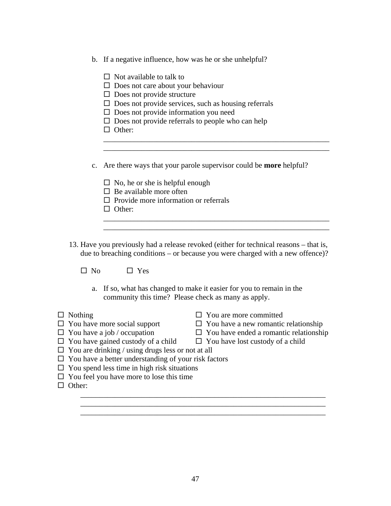- b. If a negative influence, how was he or she unhelpful?
	- $\Box$  Not available to talk to
	- $\Box$  Does not care about your behaviour
	- $\square$  Does not provide structure
	- $\square$  Does not provide services, such as housing referrals
	- $\square$  Does not provide information you need
	- $\square$  Does not provide referrals to people who can help
	- $\Box$  Other:
- c. Are there ways that your parole supervisor could be **more** helpful?

\_\_\_\_\_\_\_\_\_\_\_\_\_\_\_\_\_\_\_\_\_\_\_\_\_\_\_\_\_\_\_\_\_\_\_\_\_\_\_\_\_\_\_\_\_\_\_\_\_\_\_\_\_\_\_\_\_\_\_

\_\_\_\_\_\_\_\_\_\_\_\_\_\_\_\_\_\_\_\_\_\_\_\_\_\_\_\_\_\_\_\_\_\_\_\_\_\_\_\_\_\_\_\_\_\_\_\_\_\_\_\_\_\_\_\_\_\_\_

 $\overline{\phantom{a}}$  ,  $\overline{\phantom{a}}$  ,  $\overline{\phantom{a}}$  ,  $\overline{\phantom{a}}$  ,  $\overline{\phantom{a}}$  ,  $\overline{\phantom{a}}$  ,  $\overline{\phantom{a}}$  ,  $\overline{\phantom{a}}$  ,  $\overline{\phantom{a}}$  ,  $\overline{\phantom{a}}$  ,  $\overline{\phantom{a}}$  ,  $\overline{\phantom{a}}$  ,  $\overline{\phantom{a}}$  ,  $\overline{\phantom{a}}$  ,  $\overline{\phantom{a}}$  ,  $\overline{\phantom{a}}$ 

- $\square$  No, he or she is helpful enough
- $\Box$  Be available more often
- $\Box$  Provide more information or referrals
- $\Box$  Other:
- 13. Have you previously had a release revoked (either for technical reasons that is, due to breaching conditions – or because you were charged with a new offence)?

 $\overline{\phantom{a}}$  ,  $\overline{\phantom{a}}$  ,  $\overline{\phantom{a}}$  ,  $\overline{\phantom{a}}$  ,  $\overline{\phantom{a}}$  ,  $\overline{\phantom{a}}$  ,  $\overline{\phantom{a}}$  ,  $\overline{\phantom{a}}$  ,  $\overline{\phantom{a}}$  ,  $\overline{\phantom{a}}$  ,  $\overline{\phantom{a}}$  ,  $\overline{\phantom{a}}$  ,  $\overline{\phantom{a}}$  ,  $\overline{\phantom{a}}$  ,  $\overline{\phantom{a}}$  ,  $\overline{\phantom{a}}$ 

 $\square$  No  $\square$  Yes

- a. If so, what has changed to make it easier for you to remain in the community this time? Please check as many as apply.
- 
- $\Box$  Nothing  $\Box$  You are more committed
- $\Box$  You have more social support  $\Box$  You have a new romantic relationship
- 
- $\Box$  You have a job / occupation  $\Box$  You have ended a romantic relationship
- 
- $\Box$  You have gained custody of a child  $\Box$  You have lost custody of a child
- $\Box$  You are drinking / using drugs less or not at all
- $\square$  You have a better understanding of your risk factors
- $\Box$  You spend less time in high risk situations
- $\Box$  You feel you have more to lose this time
- □ Other:

 \_\_\_\_\_\_\_\_\_\_\_\_\_\_\_\_\_\_\_\_\_\_\_\_\_\_\_\_\_\_\_\_\_\_\_\_\_\_\_\_\_\_\_\_\_\_\_\_\_\_\_\_\_\_\_\_\_\_\_\_\_\_\_\_ \_\_\_\_\_\_\_\_\_\_\_\_\_\_\_\_\_\_\_\_\_\_\_\_\_\_\_\_\_\_\_\_\_\_\_\_\_\_\_\_\_\_\_\_\_\_\_\_\_\_\_\_\_\_\_\_\_\_\_\_\_\_\_\_ \_\_\_\_\_\_\_\_\_\_\_\_\_\_\_\_\_\_\_\_\_\_\_\_\_\_\_\_\_\_\_\_\_\_\_\_\_\_\_\_\_\_\_\_\_\_\_\_\_\_\_\_\_\_\_\_\_\_\_\_\_\_\_\_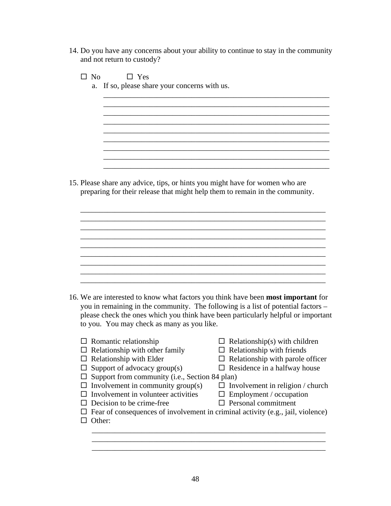14. Do you have any concerns about your ability to continue to stay in the community and not return to custody?

 $\overline{\phantom{a}}$  ,  $\overline{\phantom{a}}$  ,  $\overline{\phantom{a}}$  ,  $\overline{\phantom{a}}$  ,  $\overline{\phantom{a}}$  ,  $\overline{\phantom{a}}$  ,  $\overline{\phantom{a}}$  ,  $\overline{\phantom{a}}$  ,  $\overline{\phantom{a}}$  ,  $\overline{\phantom{a}}$  ,  $\overline{\phantom{a}}$  ,  $\overline{\phantom{a}}$  ,  $\overline{\phantom{a}}$  ,  $\overline{\phantom{a}}$  ,  $\overline{\phantom{a}}$  ,  $\overline{\phantom{a}}$ 

 $\overline{\phantom{a}}$  ,  $\overline{\phantom{a}}$  ,  $\overline{\phantom{a}}$  ,  $\overline{\phantom{a}}$  ,  $\overline{\phantom{a}}$  ,  $\overline{\phantom{a}}$  ,  $\overline{\phantom{a}}$  ,  $\overline{\phantom{a}}$  ,  $\overline{\phantom{a}}$  ,  $\overline{\phantom{a}}$  ,  $\overline{\phantom{a}}$  ,  $\overline{\phantom{a}}$  ,  $\overline{\phantom{a}}$  ,  $\overline{\phantom{a}}$  ,  $\overline{\phantom{a}}$  ,  $\overline{\phantom{a}}$ 

\_\_\_\_\_\_\_\_\_\_\_\_\_\_\_\_\_\_\_\_\_\_\_\_\_\_\_\_\_\_\_\_\_\_\_\_\_\_\_\_\_\_\_\_\_\_\_\_\_\_\_\_\_\_\_\_\_\_\_

\_\_\_\_\_\_\_\_\_\_\_\_\_\_\_\_\_\_\_\_\_\_\_\_\_\_\_\_\_\_\_\_\_\_\_\_\_\_\_\_\_\_\_\_\_\_\_\_\_\_\_\_\_\_\_\_\_\_\_

\_\_\_\_\_\_\_\_\_\_\_\_\_\_\_\_\_\_\_\_\_\_\_\_\_\_\_\_\_\_\_\_\_\_\_\_\_\_\_\_\_\_\_\_\_\_\_\_\_\_\_\_\_\_\_\_\_\_\_ \_\_\_\_\_\_\_\_\_\_\_\_\_\_\_\_\_\_\_\_\_\_\_\_\_\_\_\_\_\_\_\_\_\_\_\_\_\_\_\_\_\_\_\_\_\_\_\_\_\_\_\_\_\_\_\_\_\_\_

 $\mathcal{L}_\text{max}$  and  $\mathcal{L}_\text{max}$  and  $\mathcal{L}_\text{max}$  and  $\mathcal{L}_\text{max}$  and  $\mathcal{L}_\text{max}$  and  $\mathcal{L}_\text{max}$ 

\_\_\_\_\_\_\_\_\_\_\_\_\_\_\_\_\_\_\_\_\_\_\_\_\_\_\_\_\_\_\_\_\_\_\_\_\_\_\_\_\_\_\_\_\_\_\_\_\_\_\_\_\_\_\_\_\_\_\_\_\_\_\_\_

 $\Box$  No  $\Box$  Yes

a. If so, please share your concerns with us.

15. Please share any advice, tips, or hints you might have for women who are preparing for their release that might help them to remain in the community.

 \_\_\_\_\_\_\_\_\_\_\_\_\_\_\_\_\_\_\_\_\_\_\_\_\_\_\_\_\_\_\_\_\_\_\_\_\_\_\_\_\_\_\_\_\_\_\_\_\_\_\_\_\_\_\_\_\_\_\_\_\_\_\_\_  $\overline{\phantom{a}}$  ,  $\overline{\phantom{a}}$  ,  $\overline{\phantom{a}}$  ,  $\overline{\phantom{a}}$  ,  $\overline{\phantom{a}}$  ,  $\overline{\phantom{a}}$  ,  $\overline{\phantom{a}}$  ,  $\overline{\phantom{a}}$  ,  $\overline{\phantom{a}}$  ,  $\overline{\phantom{a}}$  ,  $\overline{\phantom{a}}$  ,  $\overline{\phantom{a}}$  ,  $\overline{\phantom{a}}$  ,  $\overline{\phantom{a}}$  ,  $\overline{\phantom{a}}$  ,  $\overline{\phantom{a}}$ \_\_\_\_\_\_\_\_\_\_\_\_\_\_\_\_\_\_\_\_\_\_\_\_\_\_\_\_\_\_\_\_\_\_\_\_\_\_\_\_\_\_\_\_\_\_\_\_\_\_\_\_\_\_\_\_\_\_\_\_\_\_\_\_

 \_\_\_\_\_\_\_\_\_\_\_\_\_\_\_\_\_\_\_\_\_\_\_\_\_\_\_\_\_\_\_\_\_\_\_\_\_\_\_\_\_\_\_\_\_\_\_\_\_\_\_\_\_\_\_\_\_\_\_\_\_\_\_\_ \_\_\_\_\_\_\_\_\_\_\_\_\_\_\_\_\_\_\_\_\_\_\_\_\_\_\_\_\_\_\_\_\_\_\_\_\_\_\_\_\_\_\_\_\_\_\_\_\_\_\_\_\_\_\_\_\_\_\_\_\_\_\_\_

- 16. We are interested to know what factors you think have been **most important** for you in remaining in the community. The following is a list of potential factors – please check the ones which you think have been particularly helpful or important to you. You may check as many as you like.
	- $\Box$  Romantic relationship  $\Box$  Relationship(s) with children
	- $\Box$  Relationship with other family  $\Box$  Relationship with friends
	-
	- $\Box$  Relationship with Elder  $\Box$  Relationship with parole officer  $\Box$  Support of advocacy group(s)  $\Box$  Residence in a halfway house  $\Box$  Support of advocacy group(s)
	- $\Box$  Support from community (i.e., Section 84 plan)
	-
	- $\Box$  Involvement in community group(s)  $\Box$  Involvement in religion / church  $\Box$  Involvement in volunteer activities  $\Box$  Employment / occupation  $\Box$  Involvement in volunteer activities
		-
		-
	- $\Box$  Decision to be crime-free  $\Box$  Personal commitment
	- $\Box$  Fear of consequences of involvement in criminal activity (e.g., jail, violence)

 $\overline{\phantom{a}}$  ,  $\overline{\phantom{a}}$  ,  $\overline{\phantom{a}}$  ,  $\overline{\phantom{a}}$  ,  $\overline{\phantom{a}}$  ,  $\overline{\phantom{a}}$  ,  $\overline{\phantom{a}}$  ,  $\overline{\phantom{a}}$  ,  $\overline{\phantom{a}}$  ,  $\overline{\phantom{a}}$  ,  $\overline{\phantom{a}}$  ,  $\overline{\phantom{a}}$  ,  $\overline{\phantom{a}}$  ,  $\overline{\phantom{a}}$  ,  $\overline{\phantom{a}}$  ,  $\overline{\phantom{a}}$  $\overline{\phantom{a}}$  , and the contribution of the contribution of the contribution of the contribution of the contribution of the contribution of the contribution of the contribution of the contribution of the contribution of the  $\overline{\phantom{a}}$  , and the contribution of the contribution of the contribution of the contribution of the contribution of the contribution of the contribution of the contribution of the contribution of the contribution of the

 $\Box$  Other: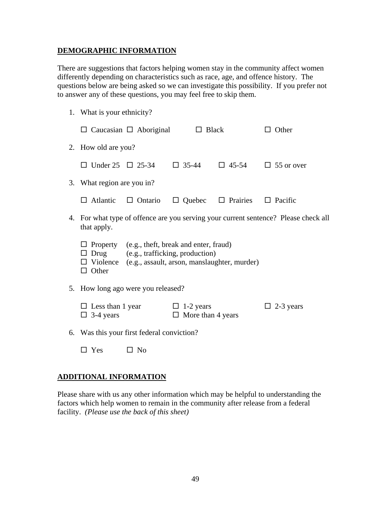# **DEMOGRAPHIC INFORMATION**

There are suggestions that factors helping women stay in the community affect women differently depending on characteristics such as race, age, and offence history. The questions below are being asked so we can investigate this possibility. If you prefer not to answer any of these questions, you may feel free to skip them.

1. What is your ethnicity?

| $\Box$ Caucasian $\Box$ Aboriginal                                                                                                                                               |                              | $\Box$ Black                                 |                               | Other                          |
|----------------------------------------------------------------------------------------------------------------------------------------------------------------------------------|------------------------------|----------------------------------------------|-------------------------------|--------------------------------|
| 2. How old are you?                                                                                                                                                              |                              |                                              |                               |                                |
|                                                                                                                                                                                  | $\Box$ Under 25 $\Box$ 25-34 | $\Box$ 35-44                                 |                               | $\Box$ 45-54 $\Box$ 55 or over |
| 3. What region are you in?                                                                                                                                                       |                              |                                              |                               |                                |
| $\Box$ Atlantic                                                                                                                                                                  | $\Box$ Ontario               |                                              | $\Box$ Quebec $\Box$ Prairies | $\Box$ Pacific                 |
| 4. For what type of offence are you serving your current sentence? Please check all<br>that apply.                                                                               |                              |                                              |                               |                                |
| $\Box$ Property (e.g., theft, break and enter, fraud)<br>(e.g., trafficking, production)<br>Drug<br>$\Box$ Violence (e.g., assault, arson, manslaughter, murder)<br>$\Box$ Other |                              |                                              |                               |                                |
| 5. How long ago were you released?                                                                                                                                               |                              |                                              |                               |                                |
| $\Box$ Less than 1 year<br>$\Box$ 3-4 years                                                                                                                                      |                              | $\Box$ 1-2 years<br>$\Box$ More than 4 years |                               | $\Box$ 2-3 years               |
| 6. Was this your first federal conviction?                                                                                                                                       |                              |                                              |                               |                                |

 $\square$  Yes  $\square$  No

# **ADDITIONAL INFORMATION**

Please share with us any other information which may be helpful to understanding the factors which help women to remain in the community after release from a federal facility. *(Please use the back of this sheet)*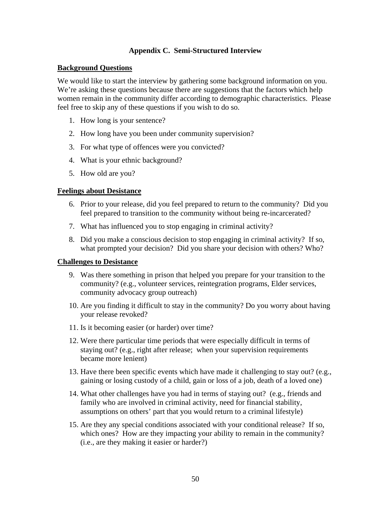# **Appendix C. Semi-Structured Interview**

# <span id="page-58-0"></span>**Background Questions**

We would like to start the interview by gathering some background information on you. We're asking these questions because there are suggestions that the factors which help women remain in the community differ according to demographic characteristics. Please feel free to skip any of these questions if you wish to do so.

- 1. How long is your sentence?
- 2. How long have you been under community supervision?
- 3. For what type of offences were you convicted?
- 4. What is your ethnic background?
- 5. How old are you?

# **Feelings about Desistance**

- 6. Prior to your release, did you feel prepared to return to the community? Did you feel prepared to transition to the community without being re-incarcerated?
- 7. What has influenced you to stop engaging in criminal activity?
- 8. Did you make a conscious decision to stop engaging in criminal activity? If so, what prompted your decision? Did you share your decision with others? Who?

# **Challenges to Desistance**

- 9. Was there something in prison that helped you prepare for your transition to the community? (e.g., volunteer services, reintegration programs, Elder services, community advocacy group outreach)
- 10. Are you finding it difficult to stay in the community? Do you worry about having your release revoked?
- 11. Is it becoming easier (or harder) over time?
- 12. Were there particular time periods that were especially difficult in terms of staying out? (e.g., right after release; when your supervision requirements became more lenient)
- 13. Have there been specific events which have made it challenging to stay out? (e.g., gaining or losing custody of a child, gain or loss of a job, death of a loved one)
- 14. What other challenges have you had in terms of staying out? (e.g., friends and family who are involved in criminal activity, need for financial stability, assumptions on others' part that you would return to a criminal lifestyle)
- 15. Are they any special conditions associated with your conditional release? If so, which ones? How are they impacting your ability to remain in the community? (i.e., are they making it easier or harder?)